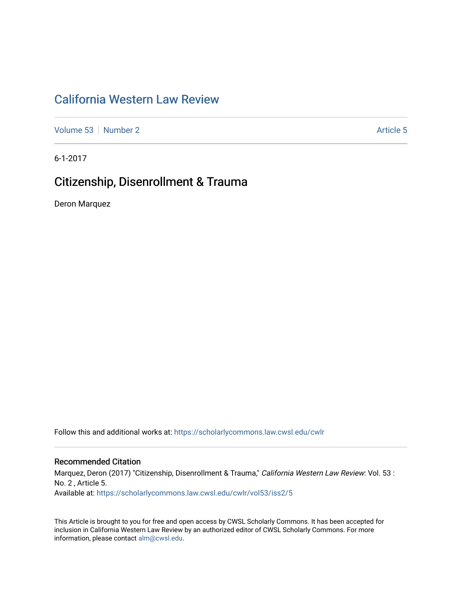# [California Western Law Review](https://scholarlycommons.law.cwsl.edu/cwlr)

[Volume 53](https://scholarlycommons.law.cwsl.edu/cwlr/vol53) [Number 2](https://scholarlycommons.law.cwsl.edu/cwlr/vol53/iss2) Article 5

6-1-2017

# Citizenship, Disenrollment & Trauma

Deron Marquez

Follow this and additional works at: [https://scholarlycommons.law.cwsl.edu/cwlr](https://scholarlycommons.law.cwsl.edu/cwlr?utm_source=scholarlycommons.law.cwsl.edu%2Fcwlr%2Fvol53%2Fiss2%2F5&utm_medium=PDF&utm_campaign=PDFCoverPages)

## Recommended Citation

Marquez, Deron (2017) "Citizenship, Disenrollment & Trauma," California Western Law Review: Vol. 53 : No. 2 , Article 5. Available at: [https://scholarlycommons.law.cwsl.edu/cwlr/vol53/iss2/5](https://scholarlycommons.law.cwsl.edu/cwlr/vol53/iss2/5?utm_source=scholarlycommons.law.cwsl.edu%2Fcwlr%2Fvol53%2Fiss2%2F5&utm_medium=PDF&utm_campaign=PDFCoverPages) 

This Article is brought to you for free and open access by CWSL Scholarly Commons. It has been accepted for inclusion in California Western Law Review by an authorized editor of CWSL Scholarly Commons. For more information, please contact [alm@cwsl.edu](mailto:alm@cwsl.edu).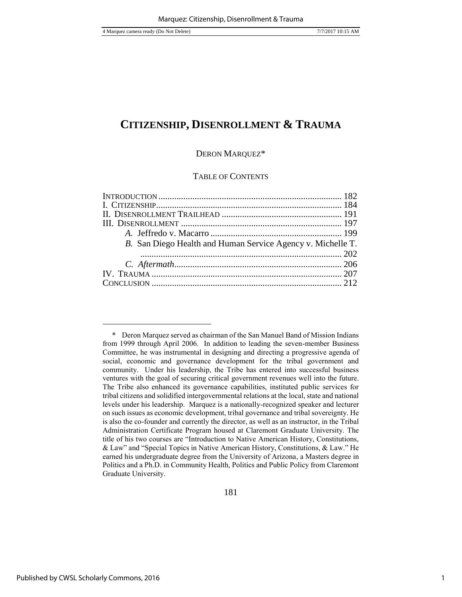#### DERON MARQUEZ\*

#### TABLE OF CONTENTS

| B. San Diego Health and Human Service Agency v. Michelle T. |  |
|-------------------------------------------------------------|--|
|                                                             |  |
|                                                             |  |
|                                                             |  |
|                                                             |  |
|                                                             |  |

 <sup>\*</sup> Deron Marquez served as chairman of the San Manuel Band of Mission Indians from 1999 through April 2006. In addition to leading the seven-member Business Committee, he was instrumental in designing and directing a progressive agenda of social, economic and governance development for the tribal government and community. Under his leadership, the Tribe has entered into successful business ventures with the goal of securing critical government revenues well into the future. The Tribe also enhanced its governance capabilities, instituted public services for tribal citizens and solidified intergovernmental relations at the local, state and national levels under his leadership. Marquez is a nationally-recognized speaker and lecturer on such issues as economic development, tribal governance and tribal sovereignty. He is also the co-founder and currently the director, as well as an instructor, in the Tribal Administration Certificate Program housed at Claremont Graduate University. The title of his two courses are "Introduction to Native American History, Constitutions, & Law" and "Special Topics in Native American History, Constitutions, & Law." He earned his undergraduate degree from the University of Arizona, a Masters degree in Politics and a Ph.D. in Community Health, Politics and Public Policy from Claremont Graduate University.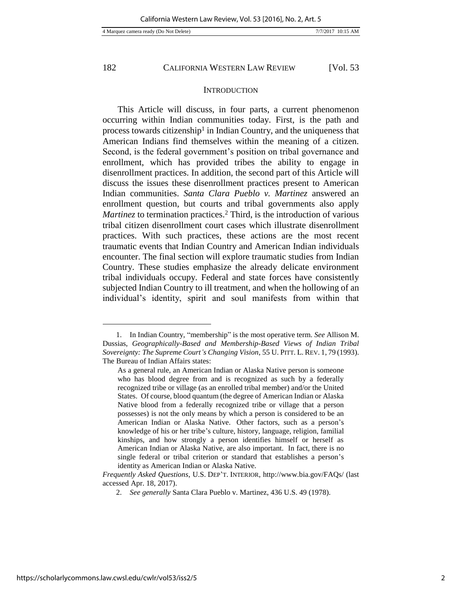#### **INTRODUCTION**

This Article will discuss, in four parts, a current phenomenon occurring within Indian communities today. First, is the path and process towards citizenship<sup>1</sup> in Indian Country, and the uniqueness that American Indians find themselves within the meaning of a citizen. Second, is the federal government's position on tribal governance and enrollment, which has provided tribes the ability to engage in disenrollment practices. In addition, the second part of this Article will discuss the issues these disenrollment practices present to American Indian communities. *Santa Clara Pueblo v. Martinez* answered an enrollment question, but courts and tribal governments also apply *Martinez* to termination practices.<sup>2</sup> Third, is the introduction of various tribal citizen disenrollment court cases which illustrate disenrollment practices. With such practices, these actions are the most recent traumatic events that Indian Country and American Indian individuals encounter. The final section will explore traumatic studies from Indian Country. These studies emphasize the already delicate environment tribal individuals occupy. Federal and state forces have consistently subjected Indian Country to ill treatment, and when the hollowing of an individual's identity, spirit and soul manifests from within that

<sup>1.</sup> In Indian Country, "membership" is the most operative term. *See* Allison M. Dussias, *Geographically-Based and Membership-Based Views of Indian Tribal Sovereignty: The Supreme Court's Changing Vision*, 55 U. PITT. L. REV. 1, 79 (1993). The Bureau of Indian Affairs states:

As a general rule, an American Indian or Alaska Native person is someone who has blood degree from and is recognized as such by a federally recognized tribe or village (as an enrolled tribal member) and/or the United States. Of course, blood quantum (the degree of American Indian or Alaska Native blood from a federally recognized tribe or village that a person possesses) is not the only means by which a person is considered to be an American Indian or Alaska Native. Other factors, such as a person's knowledge of his or her tribe's culture, history, language, religion, familial kinships, and how strongly a person identifies himself or herself as American Indian or Alaska Native, are also important. In fact, there is no single federal or tribal criterion or standard that establishes a person's identity as American Indian or Alaska Native.

*Frequently Asked Questions*, U.S. DEP'T. INTERIOR*,* http://www.bia.gov/FAQs/ (last accessed Apr. 18, 2017).

<sup>2.</sup> *See generally* Santa Clara Pueblo v. Martinez, 436 U.S. 49 (1978).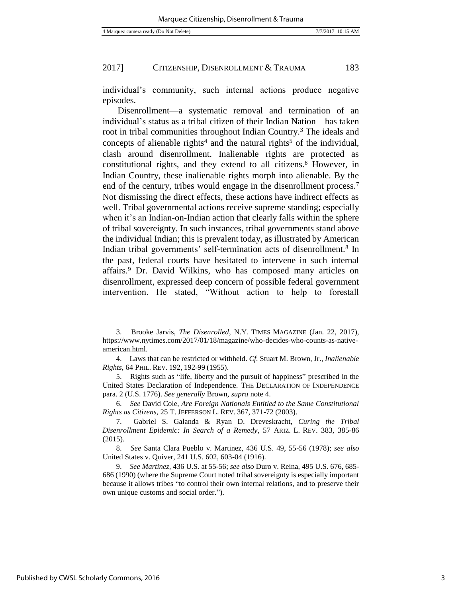individual's community, such internal actions produce negative episodes.

Disenrollment—a systematic removal and termination of an individual's status as a tribal citizen of their Indian Nation—has taken root in tribal communities throughout Indian Country.<sup>3</sup> The ideals and concepts of alienable rights<sup>4</sup> and the natural rights<sup>5</sup> of the individual, clash around disenrollment. Inalienable rights are protected as constitutional rights, and they extend to all citizens.<sup>6</sup> However, in Indian Country, these inalienable rights morph into alienable. By the end of the century, tribes would engage in the disenrollment process.<sup>7</sup> Not dismissing the direct effects, these actions have indirect effects as well. Tribal governmental actions receive supreme standing; especially when it's an Indian-on-Indian action that clearly falls within the sphere of tribal sovereignty. In such instances, tribal governments stand above the individual Indian; this is prevalent today, as illustrated by American Indian tribal governments' self-termination acts of disenrollment.<sup>8</sup> In the past, federal courts have hesitated to intervene in such internal affairs.<sup>9</sup> Dr. David Wilkins, who has composed many articles on disenrollment, expressed deep concern of possible federal government intervention. He stated, "Without action to help to forestall

<sup>3.</sup> Brooke Jarvis, *The Disenrolled*, N.Y. TIMES MAGAZINE (Jan. 22, 2017), https://www.nytimes.com/2017/01/18/magazine/who-decides-who-counts-as-nativeamerican.html.

<sup>4.</sup> Laws that can be restricted or withheld. *Cf.* Stuart M. Brown, Jr., *Inalienable Rights*, 64 PHIL. REV. 192, 192-99 (1955).

<sup>5.</sup> Rights such as "life, liberty and the pursuit of happiness" prescribed in the United States Declaration of Independence. THE DECLARATION OF INDEPENDENCE para. 2 (U.S. 1776). *See generally* Brown, *supra* note 4.

<sup>6.</sup> *See* David Cole, *Are Foreign Nationals Entitled to the Same Constitutional Rights as Citizens*, 25 T. JEFFERSON L. REV. 367, 371-72 (2003).

<sup>7.</sup> Gabriel S. Galanda & Ryan D. Dreveskracht, *Curing the Tribal Disenrollment Epidemic: In Search of a Remedy*, 57 ARIZ. L. REV. 383, 385-86 (2015).

<sup>8.</sup> *See* Santa Clara Pueblo v. Martinez, 436 U.S. 49, 55-56 (1978); *see also*  United States v. Quiver, 241 U.S. 602, 603-04 (1916).

<sup>9.</sup> *See Martinez,* 436 U.S*.* at 55-56; *see also* Duro v. Reina, 495 U.S. 676, 685- 686 (1990) (where the Supreme Court noted tribal sovereignty is especially important because it allows tribes "to control their own internal relations, and to preserve their own unique customs and social order.").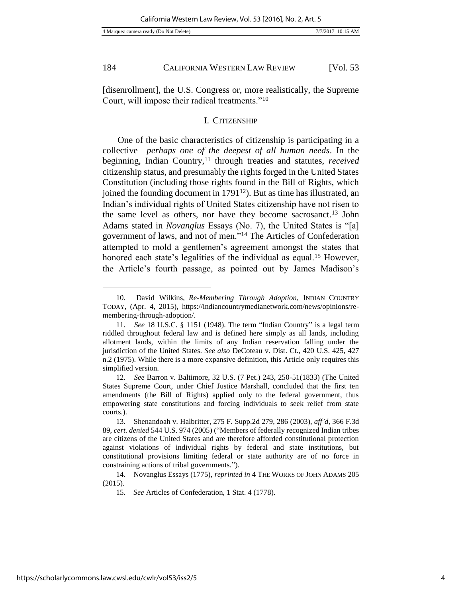l

184 CALIFORNIA WESTERN LAW REVIEW [Vol. 53

[disenrollment], the U.S. Congress or, more realistically, the Supreme Court, will impose their radical treatments."<sup>10</sup>

#### I. CITIZENSHIP

One of the basic characteristics of citizenship is participating in a collective—*perhaps one of the deepest of all human needs*. In the beginning, Indian Country,<sup>11</sup> through treaties and statutes, *received* citizenship status, and presumably the rights forged in the United States Constitution (including those rights found in the Bill of Rights, which joined the founding document in 1791<sup>12</sup>). But as time has illustrated, an Indian's individual rights of United States citizenship have not risen to the same level as others, nor have they become sacrosanct.<sup>13</sup> John Adams stated in *Novanglus* Essays (No. 7), the United States is "[a] government of laws, and not of men."<sup>14</sup> The Articles of Confederation attempted to mold a gentlemen's agreement amongst the states that honored each state's legalities of the individual as equal.<sup>15</sup> However, the Article's fourth passage, as pointed out by James Madison's

14. Novanglus Essays (1775), *reprinted in* 4 THE WORKS OF JOHN ADAMS 205 (2015).

<sup>10.</sup> David Wilkins, *Re-Membering Through Adoption*, INDIAN COUNTRY TODAY, (Apr. 4, 2015), https://indiancountrymedianetwork.com/news/opinions/remembering-through-adoption/.

<sup>11.</sup> *See* 18 U.S.C. § 1151 (1948). The term "Indian Country" is a legal term riddled throughout federal law and is defined here simply as all lands, including allotment lands, within the limits of any Indian reservation falling under the jurisdiction of the United States. *See also* DeCoteau v. Dist. Ct., 420 U.S. 425, 427 n.2 (1975). While there is a more expansive definition, this Article only requires this simplified version.

<sup>12.</sup> *See* Barron v. Baltimore, 32 U.S. (7 Pet.) 243, 250-51(1833) (The United States Supreme Court, under Chief Justice Marshall, concluded that the first ten amendments (the Bill of Rights) applied only to the federal government, thus empowering state constitutions and forcing individuals to seek relief from state courts.).

<sup>13.</sup> Shenandoah v. Halbritter, 275 F. Supp.2d 279, 286 (2003), *aff'd,* 366 F.3d 89, *cert. denied* 544 U.S. 974 (2005) ("Members of federally recognized Indian tribes are citizens of the United States and are therefore afforded constitutional protection against violations of individual rights by federal and state institutions, but constitutional provisions limiting federal or state authority are of no force in constraining actions of tribal governments.").

<sup>15.</sup> *See* Articles of Confederation, 1 Stat. 4 (1778).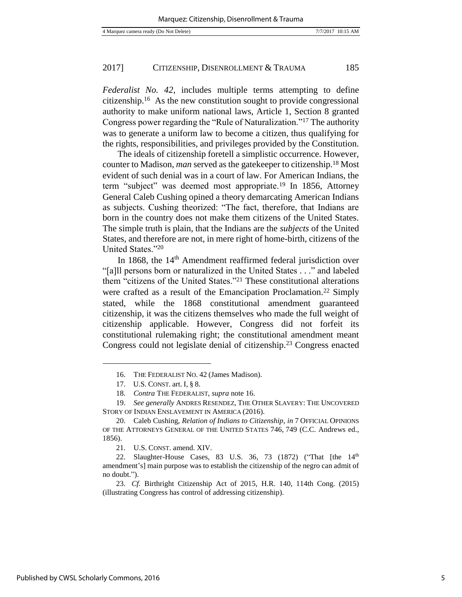*Federalist No. 42*, includes multiple terms attempting to define citizenship.<sup>16</sup> As the new constitution sought to provide congressional authority to make uniform national laws, Article 1, Section 8 granted Congress power regarding the "Rule of Naturalization."<sup>17</sup> The authority was to generate a uniform law to become a citizen, thus qualifying for the rights, responsibilities, and privileges provided by the Constitution.

The ideals of citizenship foretell a simplistic occurrence. However, counter to Madison, *man* served as the gatekeeper to citizenship.<sup>18</sup> Most evident of such denial was in a court of law. For American Indians, the term "subject" was deemed most appropriate.<sup>19</sup> In 1856, Attorney General Caleb Cushing opined a theory demarcating American Indians as subjects. Cushing theorized: "The fact, therefore, that Indians are born in the country does not make them citizens of the United States. The simple truth is plain, that the Indians are the *subjects* of the United States, and therefore are not, in mere right of home-birth, citizens of the United States."<sup>20</sup>

In 1868, the 14<sup>th</sup> Amendment reaffirmed federal jurisdiction over "[a]ll persons born or naturalized in the United States . . ." and labeled them "citizens of the United States."<sup>21</sup> These constitutional alterations were crafted as a result of the Emancipation Proclamation.<sup>22</sup> Simply stated, while the 1868 constitutional amendment guaranteed citizenship, it was the citizens themselves who made the full weight of citizenship applicable. However, Congress did not forfeit its constitutional rulemaking right; the constitutional amendment meant Congress could not legislate denial of citizenship.<sup>23</sup> Congress enacted

21. U.S. CONST. amend. XIV.

<sup>16.</sup> THE FEDERALIST NO. 42 (James Madison).

<sup>17.</sup> U.S. CONST. art. I, § 8.

<sup>18</sup>*. Contra* THE FEDERALIST, *supra* note 16.

<sup>19.</sup> *See generally* ANDRES RESENDEZ, THE OTHER SLAVERY: THE UNCOVERED STORY OF INDIAN ENSLAVEMENT IN AMERICA (2016).

<sup>20.</sup> Caleb Cushing, *Relation of Indians to Citizenship*, *in* 7 OFFICIAL OPINIONS OF THE ATTORNEYS GENERAL OF THE UNITED STATES 746, 749 (C.C. Andrews ed., 1856).

<sup>22.</sup> Slaughter-House Cases, 83 U.S. 36, 73 (1872) ("That  $[the 14<sup>th</sup>]$ amendment's] main purpose was to establish the citizenship of the negro can admit of no doubt.").

<sup>23.</sup> *Cf.* Birthright Citizenship Act of 2015, H.R. 140, 114th Cong. (2015) (illustrating Congress has control of addressing citizenship).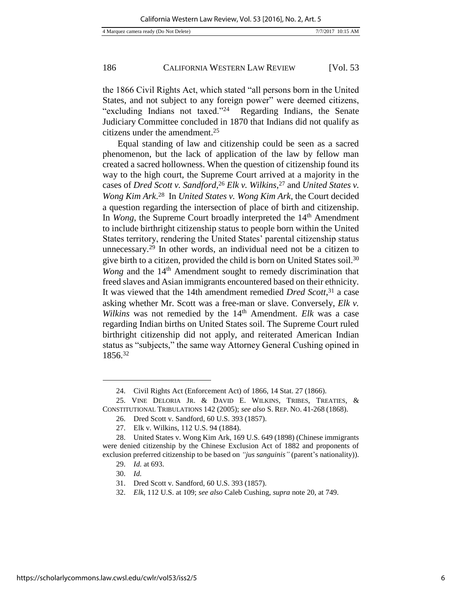the 1866 Civil Rights Act, which stated "all persons born in the United States, and not subject to any foreign power" were deemed citizens, "excluding Indians not taxed."<sup>24</sup> Regarding Indians, the Senate Judiciary Committee concluded in 1870 that Indians did not qualify as citizens under the amendment.<sup>25</sup>

Equal standing of law and citizenship could be seen as a sacred phenomenon, but the lack of application of the law by fellow man created a sacred hollowness. When the question of citizenship found its way to the high court, the Supreme Court arrived at a majority in the cases of *Dred Scott v. Sandford*, <sup>26</sup> *Elk v. Wilkins*, <sup>27</sup> and *United States v. Wong Kim Ark*. <sup>28</sup> In *United States v. Wong Kim Ark*, the Court decided a question regarding the intersection of place of birth and citizenship. In *Wong*, the Supreme Court broadly interpreted the 14<sup>th</sup> Amendment to include birthright citizenship status to people born within the United States territory, rendering the United States' parental citizenship status unnecessary.<sup>29</sup> In other words, an individual need not be a citizen to give birth to a citizen, provided the child is born on United States soil.<sup>30</sup> *Wong* and the 14<sup>th</sup> Amendment sought to remedy discrimination that freed slaves and Asian immigrants encountered based on their ethnicity. It was viewed that the 14th amendment remedied *Dred Scott*, <sup>31</sup> a case asking whether Mr. Scott was a free-man or slave. Conversely, *Elk v. Wilkins* was not remedied by the 14<sup>th</sup> Amendment. *Elk* was a case regarding Indian births on United States soil. The Supreme Court ruled birthright citizenship did not apply, and reiterated American Indian status as "subjects," the same way Attorney General Cushing opined in 1856.<sup>32</sup>

<sup>24.</sup> Civil Rights Act (Enforcement Act) of 1866, 14 Stat. 27 (1866).

<sup>25.</sup> VINE DELORIA JR. & DAVID E. WILKINS, TRIBES, TREATIES, & CONSTITUTIONAL TRIBULATIONS 142 (2005); *see also* S. REP. NO. 41-268 (1868).

<sup>26.</sup> Dred Scott v. Sandford, 60 U.S. 393 (1857).

<sup>27.</sup> Elk v. Wilkins, 112 U.S. 94 (1884).

<sup>28.</sup> United States v. Wong Kim Ark, 169 U.S. 649 (1898) (Chinese immigrants were denied citizenship by the Chinese Exclusion Act of 1882 and proponents of exclusion preferred citizenship to be based on *"jus sanguinis"* (parent's nationality)).

<sup>29.</sup> *Id.* at 693.

<sup>30.</sup> *Id.*

<sup>31.</sup> Dred Scott v. Sandford, 60 U.S. 393 (1857).

<sup>32.</sup> *Elk*, 112 U.S. at 109; *see also* Caleb Cushing, *supra* note 20, at 749.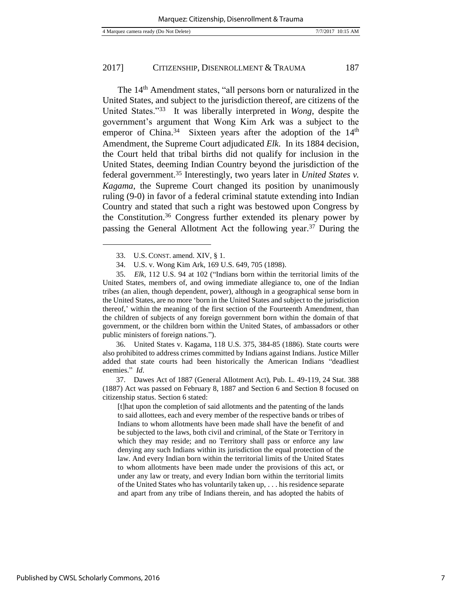The 14th Amendment states, "all persons born or naturalized in the United States, and subject to the jurisdiction thereof, are citizens of the United States."<sup>33</sup> It was liberally interpreted in *Wong*, despite the government's argument that Wong Kim Ark was a subject to the emperor of China.<sup>34</sup> Sixteen years after the adoption of the 14<sup>th</sup> Amendment, the Supreme Court adjudicated *Elk*. In its 1884 decision, the Court held that tribal births did not qualify for inclusion in the United States, deeming Indian Country beyond the jurisdiction of the federal government.<sup>35</sup> Interestingly, two years later in *United States v. Kagama*, the Supreme Court changed its position by unanimously ruling (9-0) in favor of a federal criminal statute extending into Indian Country and stated that such a right was bestowed upon Congress by the Constitution.<sup>36</sup> Congress further extended its plenary power by passing the General Allotment Act the following year.<sup>37</sup> During the

l

36. United States v. Kagama, 118 U.S. 375, 384-85 (1886). State courts were also prohibited to address crimes committed by Indians against Indians. Justice Miller added that state courts had been historically the American Indians "deadliest enemies." *Id*.

37. Dawes Act of 1887 (General Allotment Act), Pub. L. 49-119, 24 Stat. 388 (1887) Act was passed on February 8, 1887 and Section 6 and Section 8 focused on citizenship status. Section 6 stated:

[t]hat upon the completion of said allotments and the patenting of the lands to said allottees, each and every member of the respective bands or tribes of Indians to whom allotments have been made shall have the benefit of and be subjected to the laws, both civil and criminal, of the State or Territory in which they may reside; and no Territory shall pass or enforce any law denying any such Indians within its jurisdiction the equal protection of the law. And every Indian born within the territorial limits of the United States to whom allotments have been made under the provisions of this act, or under any law or treaty, and every Indian born within the territorial limits of the United States who has voluntarily taken up, . . . his residence separate and apart from any tribe of Indians therein, and has adopted the habits of

<sup>33.</sup> U.S. CONST. amend. XIV, § 1.

<sup>34.</sup> U.S. v. Wong Kim Ark, 169 U.S. 649, 705 (1898).

<sup>35.</sup> *Elk*, 112 U.S. 94 at 102 ("Indians born within the territorial limits of the United States, members of, and owing immediate allegiance to, one of the Indian tribes (an alien, though dependent, power), although in a geographical sense born in the United States, are no more 'born in the United States and subject to the jurisdiction thereof,' within the meaning of the first section of the Fourteenth Amendment, than the children of subjects of any foreign government born within the domain of that government, or the children born within the United States, of ambassadors or other public ministers of foreign nations.").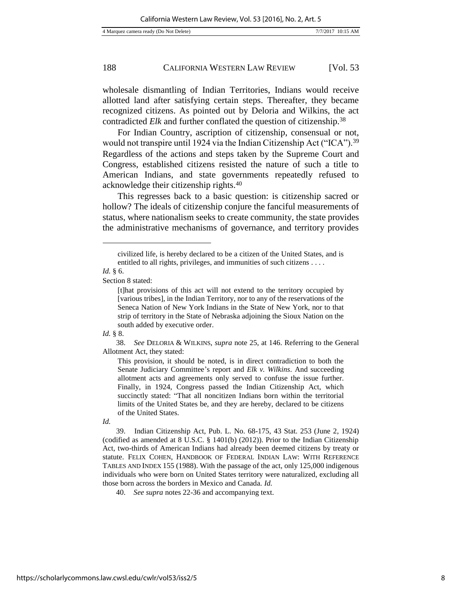wholesale dismantling of Indian Territories, Indians would receive allotted land after satisfying certain steps. Thereafter, they became recognized citizens. As pointed out by Deloria and Wilkins, the act contradicted *Elk* and further conflated the question of citizenship.<sup>38</sup>

For Indian Country, ascription of citizenship, consensual or not, would not transpire until 1924 via the Indian Citizenship Act ("ICA").<sup>39</sup> Regardless of the actions and steps taken by the Supreme Court and Congress, established citizens resisted the nature of such a title to American Indians, and state governments repeatedly refused to acknowledge their citizenship rights.<sup>40</sup>

This regresses back to a basic question: is citizenship sacred or hollow? The ideals of citizenship conjure the fanciful measurements of status, where nationalism seeks to create community, the state provides the administrative mechanisms of governance, and territory provides

l

Section 8 stated:

*Id.* § 8.

38. *See* DELORIA & WILKINS, *supra* note 25, at 146. Referring to the General Allotment Act, they stated:

This provision, it should be noted, is in direct contradiction to both the Senate Judiciary Committee's report and *Elk v. Wilkins*. And succeeding allotment acts and agreements only served to confuse the issue further. Finally, in 1924, Congress passed the Indian Citizenship Act, which succinctly stated: "That all noncitizen Indians born within the territorial limits of the United States be, and they are hereby, declared to be citizens of the United States.

*Id.* 

39. Indian Citizenship Act, Pub. L. No. 68-175, 43 Stat. 253 (June 2, 1924) (codified as amended at 8 U.S.C. § 1401(b) (2012)). Prior to the Indian Citizenship Act, two-thirds of American Indians had already been deemed citizens by treaty or statute. FELIX COHEN, HANDBOOK OF FEDERAL INDIAN LAW: WITH REFERENCE TABLES AND INDEX 155 (1988). With the passage of the act, only 125,000 indigenous individuals who were born on United States territory were naturalized, excluding all those born across the borders in Mexico and Canada. *Id.*

40. *See supra* notes 22-36 and accompanying text.

civilized life, is hereby declared to be a citizen of the United States, and is entitled to all rights, privileges, and immunities of such citizens . . . .

*Id.* § 6.

<sup>[</sup>t]hat provisions of this act will not extend to the territory occupied by [various tribes], in the Indian Territory, nor to any of the reservations of the Seneca Nation of New York Indians in the State of New York, nor to that strip of territory in the State of Nebraska adjoining the Sioux Nation on the south added by executive order.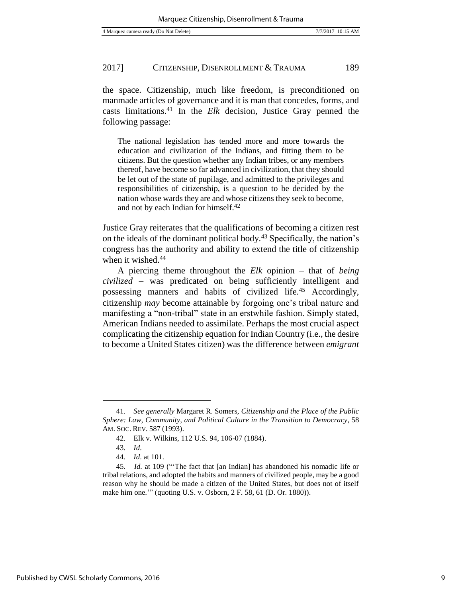the space. Citizenship, much like freedom, is preconditioned on manmade articles of governance and it is man that concedes, forms, and casts limitations.<sup>41</sup> In the *Elk* decision, Justice Gray penned the following passage:

The national legislation has tended more and more towards the education and civilization of the Indians, and fitting them to be citizens. But the question whether any Indian tribes, or any members thereof, have become so far advanced in civilization, that they should be let out of the state of pupilage, and admitted to the privileges and responsibilities of citizenship, is a question to be decided by the nation whose wards they are and whose citizens they seek to become, and not by each Indian for himself.<sup>42</sup>

Justice Gray reiterates that the qualifications of becoming a citizen rest on the ideals of the dominant political body.<sup>43</sup> Specifically, the nation's congress has the authority and ability to extend the title of citizenship when it wished.<sup>44</sup>

A piercing theme throughout the *Elk* opinion – that of *being civilized* – was predicated on being sufficiently intelligent and possessing manners and habits of civilized life.<sup>45</sup> Accordingly, citizenship *may* become attainable by forgoing one's tribal nature and manifesting a "non-tribal" state in an erstwhile fashion. Simply stated, American Indians needed to assimilate. Perhaps the most crucial aspect complicating the citizenship equation for Indian Country (i.e., the desire to become a United States citizen) was the difference between *emigrant* 

<sup>41.</sup> *See generally* Margaret R. Somers, *Citizenship and the Place of the Public Sphere: Law, Community, and Political Culture in the Transition to Democracy*, 58 AM. SOC. REV. 587 (1993).

<sup>42.</sup> Elk v. Wilkins, 112 U.S. 94, 106-07 (1884).

<sup>43.</sup> *Id*.

<sup>44.</sup> *Id*. at 101.

<sup>45.</sup> *Id.* at 109 ("'The fact that [an Indian] has abandoned his nomadic life or tribal relations, and adopted the habits and manners of civilized people, may be a good reason why he should be made a citizen of the United States, but does not of itself make him one.'" (quoting U.S. v. Osborn, 2 F. 58, 61 (D. Or. 1880)).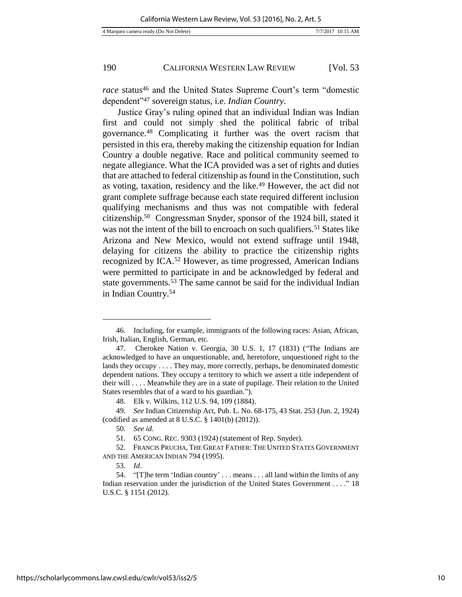*race* status<sup>46</sup> and the United States Supreme Court's term "domestic dependent"<sup>47</sup> sovereign status, i.e. *Indian Country*.

Justice Gray's ruling opined that an individual Indian was Indian first and could not simply shed the political fabric of tribal governance.<sup>48</sup> Complicating it further was the overt racism that persisted in this era, thereby making the citizenship equation for Indian Country a double negative. Race and political community seemed to negate allegiance. What the ICA provided was a set of rights and duties that are attached to federal citizenship as found in the Constitution, such as voting, taxation, residency and the like.<sup>49</sup> However, the act did not grant complete suffrage because each state required different inclusion qualifying mechanisms and thus was not compatible with federal citizenship.<sup>50</sup> Congressman Snyder, sponsor of the 1924 bill, stated it was not the intent of the bill to encroach on such qualifiers.<sup>51</sup> States like Arizona and New Mexico, would not extend suffrage until 1948, delaying for citizens the ability to practice the citizenship rights recognized by ICA.<sup>52</sup> However, as time progressed, American Indians were permitted to participate in and be acknowledged by federal and state governments.<sup>53</sup> The same cannot be said for the individual Indian in Indian Country.<sup>54</sup>

<sup>46.</sup> Including, for example, immigrants of the following races: Asian, African, Irish, Italian, English, German, etc.

<sup>47.</sup> Cherokee Nation v. Georgia, 30 U.S. 1, 17 (1831) ("The Indians are acknowledged to have an unquestionable, and, heretofore, unquestioned right to the lands they occupy . . . . They may, more correctly, perhaps, be denominated domestic dependent nations. They occupy a territory to which we assert a title independent of their will . . . . Meanwhile they are in a state of pupilage. Their relation to the United States resembles that of a ward to his guardian.").

<sup>48.</sup> Elk v. Wilkins, 112 U.S. 94, 109 (1884).

<sup>49.</sup> *See* Indian Citizenship Act, Pub. L. No. 68-175, 43 Stat. 253 (Jun. 2, 1924) (codified as amended at 8 U.S.C. § 1401(b) (2012)).

<sup>50.</sup> *See id.*

<sup>51. 65</sup> CONG. REC. 9303 (1924) (statement of Rep. Snyder).

<sup>52.</sup> FRANCIS PRUCHA, THE GREAT FATHER: THE UNITED STATES GOVERNMENT AND THE AMERICAN INDIAN 794 (1995).

<sup>53.</sup> *Id*.

<sup>54. &</sup>quot;[T]he term 'Indian country' . . . means . . . all land within the limits of any Indian reservation under the jurisdiction of the United States Government . . . ." 18 U.S.C. § 1151 (2012).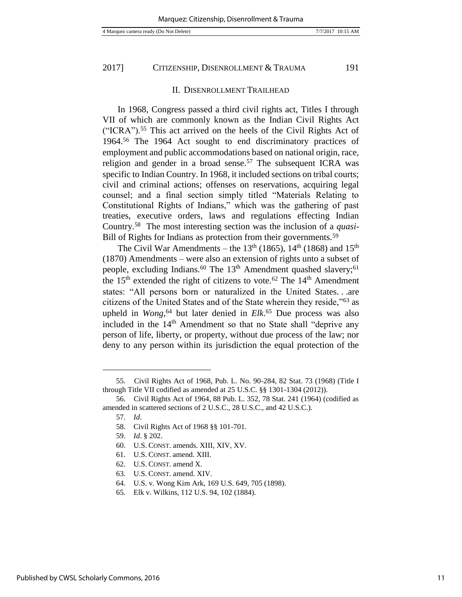II. DISENROLLMENT TRAILHEAD

In 1968, Congress passed a third civil rights act, Titles I through VII of which are commonly known as the Indian Civil Rights Act ("ICRA").<sup>55</sup> This act arrived on the heels of the Civil Rights Act of 1964.<sup>56</sup> The 1964 Act sought to end discriminatory practices of employment and public accommodations based on national origin, race, religion and gender in a broad sense.<sup>57</sup> The subsequent ICRA was specific to Indian Country. In 1968, it included sections on tribal courts; civil and criminal actions; offenses on reservations, acquiring legal counsel; and a final section simply titled "Materials Relating to Constitutional Rights of Indians," which was the gathering of past treaties, executive orders, laws and regulations effecting Indian Country.<sup>58</sup> The most interesting section was the inclusion of a *quasi*-Bill of Rights for Indians as protection from their governments.<sup>59</sup>

The Civil War Amendments – the  $13<sup>th</sup>$  (1865),  $14<sup>th</sup>$  (1868) and  $15<sup>th</sup>$ (1870) Amendments – were also an extension of rights unto a subset of people, excluding Indians.<sup>60</sup> The  $13<sup>th</sup>$  Amendment quashed slavery;<sup>61</sup> the  $15<sup>th</sup>$  extended the right of citizens to vote.<sup>62</sup> The  $14<sup>th</sup>$  Amendment states: "All persons born or naturalized in the United States. . .are citizens of the United States and of the State wherein they reside,"<sup>63</sup> as upheld in *Wong*, <sup>64</sup> but later denied in *Elk*. <sup>65</sup> Due process was also included in the  $14<sup>th</sup>$  Amendment so that no State shall "deprive any person of life, liberty, or property, without due process of the law; nor deny to any person within its jurisdiction the equal protection of the

l

64. U.S. v. Wong Kim Ark, 169 U.S. 649, 705 (1898).

<sup>55.</sup> Civil Rights Act of 1968, Pub. L. No. 90-284, 82 Stat. 73 (1968) (Title I through Title VII codified as amended at 25 U.S.C. §§ 1301-1304 (2012)).

<sup>56.</sup> Civil Rights Act of 1964, 88 Pub. L. 352, 78 Stat. 241 (1964) (codified as amended in scattered sections of 2 U.S.C., 28 U.S.C., and 42 U.S.C.).

<sup>57.</sup> *Id*.

<sup>58.</sup> Civil Rights Act of 1968 §§ 101-701.

<sup>59.</sup> *Id*. § 202.

<sup>60.</sup> U.S. CONST. amends. XIII, XIV, XV.

<sup>61.</sup> U.S. CONST. amend. XIII.

<sup>62.</sup> U.S. CONST. amend X.

<sup>63.</sup> U.S. CONST. amend. XIV.

<sup>65.</sup> Elk v. Wilkins, 112 U.S. 94, 102 (1884).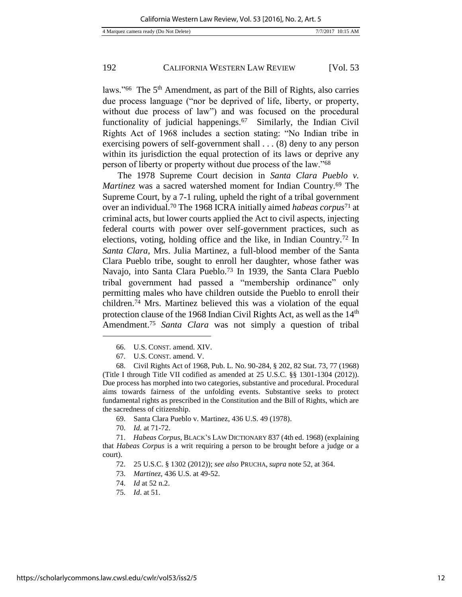laws."<sup>66</sup> The 5<sup>th</sup> Amendment, as part of the Bill of Rights, also carries due process language ("nor be deprived of life, liberty, or property, without due process of law") and was focused on the procedural functionality of judicial happenings.<sup>67</sup> Similarly, the Indian Civil Rights Act of 1968 includes a section stating: "No Indian tribe in exercising powers of self-government shall . . . (8) deny to any person within its jurisdiction the equal protection of its laws or deprive any person of liberty or property without due process of the law."<sup>68</sup>

The 1978 Supreme Court decision in *Santa Clara Pueblo v. Martinez* was a sacred watershed moment for Indian Country.<sup>69</sup> The Supreme Court, by a 7-1 ruling, upheld the right of a tribal government over an individual.<sup>70</sup> The 1968 ICRA initially aimed *habeas corpus*<sup>71</sup> at criminal acts, but lower courts applied the Act to civil aspects, injecting federal courts with power over self-government practices, such as elections, voting, holding office and the like, in Indian Country.<sup>72</sup> In *Santa Clara*, Mrs. Julia Martinez, a full-blood member of the Santa Clara Pueblo tribe, sought to enroll her daughter, whose father was Navajo, into Santa Clara Pueblo.<sup>73</sup> In 1939, the Santa Clara Pueblo tribal government had passed a "membership ordinance" only permitting males who have children outside the Pueblo to enroll their children.<sup>74</sup> Mrs. Martinez believed this was a violation of the equal protection clause of the 1968 Indian Civil Rights Act, as well as the 14<sup>th</sup> Amendment. <sup>75</sup> *Santa Clara* was not simply a question of tribal

67. U.S. CONST. amend. V.

68. Civil Rights Act of 1968, Pub. L. No. 90-284, § 202, 82 Stat. 73, 77 (1968) (Title I through Title VII codified as amended at 25 U.S.C. §§ 1301-1304 (2012)). Due process has morphed into two categories, substantive and procedural. Procedural aims towards fairness of the unfolding events. Substantive seeks to protect fundamental rights as prescribed in the Constitution and the Bill of Rights, which are the sacredness of citizenship.

- 69. Santa Clara Pueblo v. Martinez, 436 U.S. 49 (1978).
- 70. *Id.* at 71-72.

71. *Habeas Corpus*, BLACK'S LAW DICTIONARY 837 (4th ed. 1968) (explaining that *Habeas Corpus* is a writ requiring a person to be brought before a judge or a court).

- 72. 25 U.S.C. § 1302 (2012)); *see also* PRUCHA, *supra* note 52, at 364.
- 73. *Martinez,* 436 U.S. at 49-52.
- 74. *Id* at 52 n.2.
- 75. *Id*. at 51.

<sup>66.</sup> U.S. CONST. amend. XIV.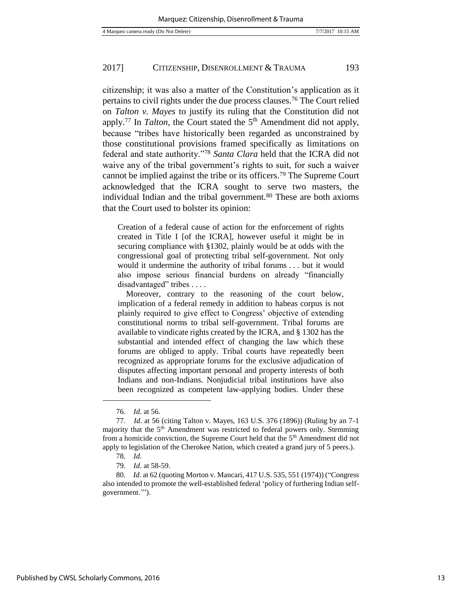citizenship; it was also a matter of the Constitution's application as it pertains to civil rights under the due process clauses.<sup>76</sup> The Court relied on *Talton v. Mayes* to justify its ruling that the Constitution did not apply.<sup>77</sup> In *Talton*, the Court stated the 5<sup>th</sup> Amendment did not apply, because "tribes have historically been regarded as unconstrained by those constitutional provisions framed specifically as limitations on federal and state authority."<sup>78</sup> *Santa Clara* held that the ICRA did not waive any of the tribal government's rights to suit, for such a waiver cannot be implied against the tribe or its officers.<sup>79</sup> The Supreme Court acknowledged that the ICRA sought to serve two masters, the individual Indian and the tribal government.<sup>80</sup> These are both axioms that the Court used to bolster its opinion:

Creation of a federal cause of action for the enforcement of rights created in Title I [of the ICRA], however useful it might be in securing compliance with §1302, plainly would be at odds with the congressional goal of protecting tribal self-government. Not only would it undermine the authority of tribal forums . . . but it would also impose serious financial burdens on already "financially disadvantaged" tribes . . . .

 Moreover, contrary to the reasoning of the court below, implication of a federal remedy in addition to habeas corpus is not plainly required to give effect to Congress' objective of extending constitutional norms to tribal self-government. Tribal forums are available to vindicate rights created by the ICRA, and § 1302 has the substantial and intended effect of changing the law which these forums are obliged to apply. Tribal courts have repeatedly been recognized as appropriate forums for the exclusive adjudication of disputes affecting important personal and property interests of both Indians and non-Indians. Nonjudicial tribal institutions have also been recognized as competent law-applying bodies. Under these

<sup>76.</sup> *Id*. at 56.

<sup>77.</sup> *Id*. at 56 (citing Talton v. Mayes, 163 U.S. 376 (1896)) (Ruling by an 7-1 majority that the 5<sup>th</sup> Amendment was restricted to federal powers only. Stemming from a homicide conviction, the Supreme Court held that the 5<sup>th</sup> Amendment did not apply to legislation of the Cherokee Nation, which created a grand jury of 5 peers.).

<sup>78.</sup> *Id.*

<sup>79.</sup> *Id*. at 58-59.

<sup>80.</sup> *Id*. at 62 (quoting Morton v. Mancari, 417 U.S. 535, 551 (1974)) ("Congress also intended to promote the well-established federal 'policy of furthering Indian selfgovernment.'").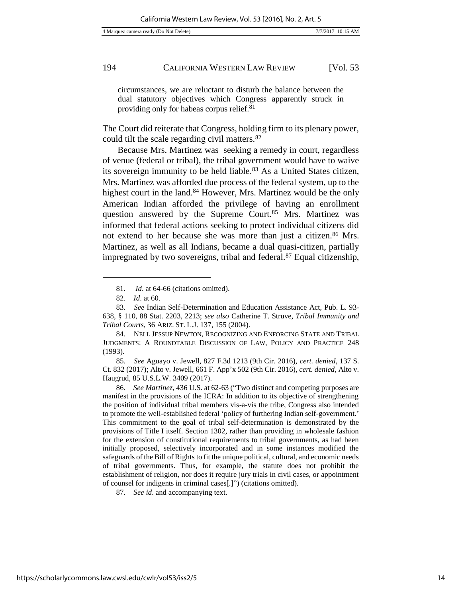circumstances, we are reluctant to disturb the balance between the dual statutory objectives which Congress apparently struck in providing only for habeas corpus relief.<sup>81</sup>

The Court did reiterate that Congress, holding firm to its plenary power, could tilt the scale regarding civil matters.<sup>82</sup>

Because Mrs. Martinez was seeking a remedy in court, regardless of venue (federal or tribal), the tribal government would have to waive its sovereign immunity to be held liable.<sup>83</sup> As a United States citizen, Mrs. Martinez was afforded due process of the federal system, up to the highest court in the land.<sup>84</sup> However, Mrs. Martinez would be the only American Indian afforded the privilege of having an enrollment question answered by the Supreme Court.<sup>85</sup> Mrs. Martinez was informed that federal actions seeking to protect individual citizens did not extend to her because she was more than just a citizen.<sup>86</sup> Mrs. Martinez, as well as all Indians, became a dual quasi-citizen, partially impregnated by two sovereigns, tribal and federal. $87$  Equal citizenship,

l

85. *See* Aguayo v. Jewell, 827 F.3d 1213 (9th Cir. 2016), *cert. denied*, 137 S. Ct. 832 (2017); Alto v. Jewell, 661 F. App'x 502 (9th Cir. 2016), *cert. denied*, Alto v. Haugrud, 85 U.S.L.W. 3409 (2017).

86. *See Martinez*, 436 U.S. at 62-63 ("Two distinct and competing purposes are manifest in the provisions of the ICRA: In addition to its objective of strengthening the position of individual tribal members vis-a-vis the tribe, Congress also intended to promote the well-established federal 'policy of furthering Indian self-government.' This commitment to the goal of tribal self-determination is demonstrated by the provisions of Title I itself. Section 1302, rather than providing in wholesale fashion for the extension of constitutional requirements to tribal governments, as had been initially proposed, selectively incorporated and in some instances modified the safeguards of the Bill of Rights to fit the unique political, cultural, and economic needs of tribal governments. Thus, for example, the statute does not prohibit the establishment of religion, nor does it require jury trials in civil cases, or appointment of counsel for indigents in criminal cases[.]") (citations omitted).

87. *See id*. and accompanying text.

<sup>81.</sup> *Id*. at 64-66 (citations omitted).

<sup>82.</sup> *Id*. at 60.

<sup>83.</sup> *See* Indian Self-Determination and Education Assistance Act, Pub. L. 93- 638, § 110, 88 Stat. 2203, 2213; *see also* Catherine T. Struve, *Tribal Immunity and Tribal Courts*, 36 ARIZ. ST. L.J. 137, 155 (2004).

<sup>84.</sup> NELL JESSUP NEWTON, RECOGNIZING AND ENFORCING STATE AND TRIBAL JUDGMENTS: A ROUNDTABLE DISCUSSION OF LAW, POLICY AND PRACTICE 248 (1993).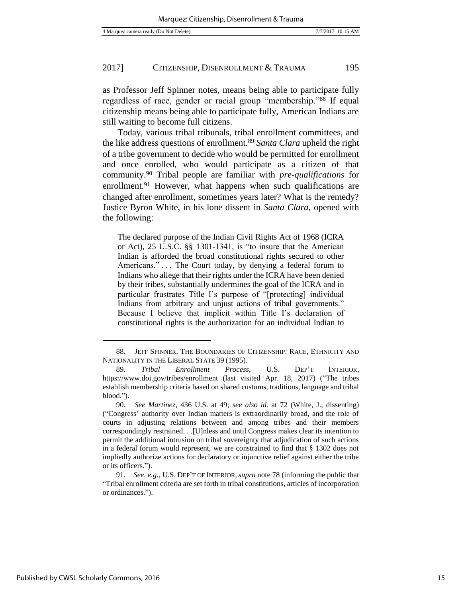as Professor Jeff Spinner notes, means being able to participate fully regardless of race, gender or racial group "membership."<sup>88</sup> If equal citizenship means being able to participate fully, American Indians are still waiting to become full citizens.

Today, various tribal tribunals, tribal enrollment committees, and the like address questions of enrollment.<sup>89</sup> *Santa Clara* upheld the right of a tribe government to decide who would be permitted for enrollment and once enrolled, who would participate as a citizen of that community.<sup>90</sup> Tribal people are familiar with *pre-qualifications* for enrollment.<sup>91</sup> However, what happens when such qualifications are changed after enrollment, sometimes years later? What is the remedy? Justice Byron White, in his lone dissent in *Santa Clara*, opened with the following:

The declared purpose of the Indian Civil Rights Act of 1968 (ICRA or Act), 25 U.S.C. §§ 1301-1341, is "to insure that the American Indian is afforded the broad constitutional rights secured to other Americans." . . . The Court today, by denying a federal forum to Indians who allege that their rights under the ICRA have been denied by their tribes, substantially undermines the goal of the ICRA and in particular frustrates Title I's purpose of "[protecting] individual Indians from arbitrary and unjust actions of tribal governments." Because I believe that implicit within Title I's declaration of constitutional rights is the authorization for an individual Indian to

<sup>88.</sup> JEFF SPINNER, THE BOUNDARIES OF CITIZENSHIP: RACE, ETHNICITY AND NATIONALITY IN THE LIBERAL STATE 39 (1995).

<sup>89.</sup> *Tribal Enrollment Process*, U.S. DEP'T INTERIOR, https://www.doi.gov/tribes/enrollment (last visited Apr. 18, 2017) ("The tribes establish membership criteria based on shared customs, traditions, language and tribal blood.").

<sup>90.</sup> *See Martinez*, 436 U.S. at 49; *see also id.* at 72 (White, J., dissenting) ("Congress' authority over Indian matters is extraordinarily broad, and the role of courts in adjusting relations between and among tribes and their members correspondingly restrained. . .[U]nless and until Congress makes clear its intention to permit the additional intrusion on tribal sovereignty that adjudication of such actions in a federal forum would represent, we are constrained to find that § 1302 does not impliedly authorize actions for declaratory or injunctive relief against either the tribe or its officers.").

<sup>91.</sup> *See, e.g*., U.S. DEP'T OF INTERIOR, *supra* note 78 (informing the public that "Tribal enrollment criteria are set forth in tribal constitutions, articles of incorporation or ordinances.").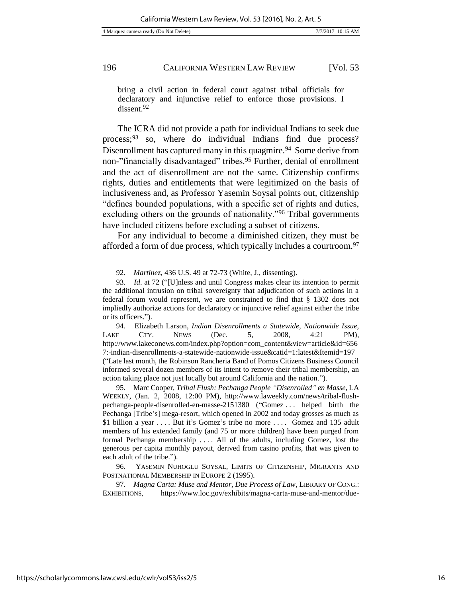bring a civil action in federal court against tribal officials for declaratory and injunctive relief to enforce those provisions. I dissent.<sup>92</sup>

The ICRA did not provide a path for individual Indians to seek due process;<sup>93</sup> so, where do individual Indians find due process? Disenrollment has captured many in this quagmire.<sup>94</sup> Some derive from non-"financially disadvantaged" tribes.<sup>95</sup> Further, denial of enrollment and the act of disenrollment are not the same. Citizenship confirms rights, duties and entitlements that were legitimized on the basis of inclusiveness and, as Professor Yasemin Soysal points out, citizenship "defines bounded populations, with a specific set of rights and duties, excluding others on the grounds of nationality."<sup>96</sup> Tribal governments have included citizens before excluding a subset of citizens.

For any individual to become a diminished citizen, they must be afforded a form of due process, which typically includes a courtroom.<sup>97</sup>

<sup>92.</sup> *Martinez*, 436 U.S. 49 at 72-73 (White, J., dissenting).

<sup>93.</sup> *Id*. at 72 ("[U]nless and until Congress makes clear its intention to permit the additional intrusion on tribal sovereignty that adjudication of such actions in a federal forum would represent, we are constrained to find that § 1302 does not impliedly authorize actions for declaratory or injunctive relief against either the tribe or its officers.").

<sup>94.</sup> Elizabeth Larson, *Indian Disenrollments a Statewide, Nationwide Issue,* LAKE CTY. NEWS (Dec. 5, 2008, 4:21 PM), http://www.lakeconews.com/index.php?option=com\_content&view=article&id=656 7:-indian-disenrollments-a-statewide-nationwide-issue&catid=1:latest&Itemid=197 ("Late last month, the Robinson Rancheria Band of Pomos Citizens Business Council informed several dozen members of its intent to remove their tribal membership, an action taking place not just locally but around California and the nation.").

<sup>95.</sup> Marc Cooper, *Tribal Flush: Pechanga People "Disenrolled" en Masse*, LA WEEKLY, (Jan. 2, 2008, 12:00 PM), http://www.laweekly.com/news/tribal-flushpechanga-people-disenrolled-en-masse-2151380 ("Gomez . . . helped birth the Pechanga [Tribe's] mega-resort, which opened in 2002 and today grosses as much as \$1 billion a year .... But it's Gomez's tribe no more .... Gomez and 135 adult members of his extended family (and 75 or more children) have been purged from formal Pechanga membership .... All of the adults, including Gomez, lost the generous per capita monthly payout, derived from casino profits, that was given to each adult of the tribe.").

<sup>96.</sup> YASEMIN NUHOGLU SOYSAL*,* LIMITS OF CITIZENSHIP, MIGRANTS AND POSTNATIONAL MEMBERSHIP IN EUROPE 2 (1995).

<sup>97.</sup> *Magna Carta: Muse and Mentor, Due Process of Law*, LIBRARY OF CONG.: EXHIBITIONS, https://www.loc.gov/exhibits/magna-carta-muse-and-mentor/due-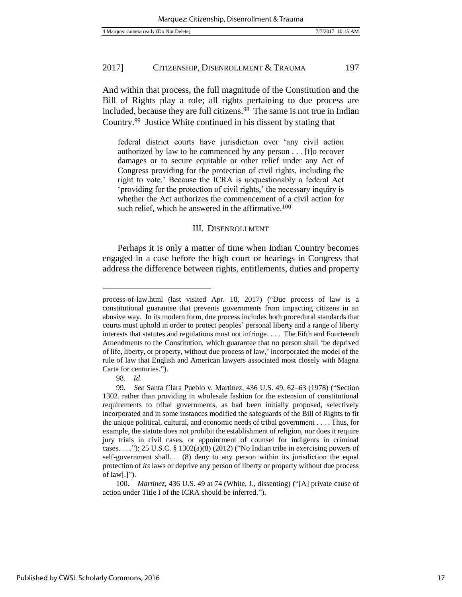And within that process, the full magnitude of the Constitution and the Bill of Rights play a role; all rights pertaining to due process are included, because they are full citizens.<sup>98</sup> The same is not true in Indian Country.<sup>99</sup> Justice White continued in his dissent by stating that

federal district courts have jurisdiction over 'any civil action authorized by law to be commenced by any person . . . [t]o recover damages or to secure equitable or other relief under any Act of Congress providing for the protection of civil rights, including the right to vote.' Because the ICRA is unquestionably a federal Act 'providing for the protection of civil rights,' the necessary inquiry is whether the Act authorizes the commencement of a civil action for such relief, which he answered in the affirmative.<sup>100</sup>

#### III. DISENROLLMENT

Perhaps it is only a matter of time when Indian Country becomes engaged in a case before the high court or hearings in Congress that address the difference between rights, entitlements, duties and property

process-of-law.html (last visited Apr. 18, 2017) ("Due process of law is a constitutional guarantee that prevents governments from impacting citizens in an abusive way. In its modern form, due process includes both procedural standards that courts must uphold in order to protect peoples' personal liberty and a range of liberty interests that statutes and regulations must not infringe. . . . The Fifth and Fourteenth Amendments to the Constitution, which guarantee that no person shall 'be deprived of life, liberty, or property, without due process of law,' incorporated the model of the rule of law that English and American lawyers associated most closely with Magna Carta for centuries.").

<sup>98.</sup> *Id*.

<sup>99.</sup> *See* Santa Clara Pueblo v. Martinez, 436 U.S. 49, 62–63 (1978) ("Section 1302, rather than providing in wholesale fashion for the extension of constitutional requirements to tribal governments, as had been initially proposed, selectively incorporated and in some instances modified the safeguards of the Bill of Rights to fit the unique political, cultural, and economic needs of tribal government . . . . Thus, for example, the statute does not prohibit the establishment of religion, nor does it require jury trials in civil cases, or appointment of counsel for indigents in criminal cases. . . ."); 25 U.S.C. § 1302(a)(8) (2012) ("No Indian tribe in exercising powers of self-government shall... $(8)$  deny to any person within its jurisdiction the equal protection of *its* laws or deprive any person of liberty or property without due process of  $law[.]$ ").

<sup>100.</sup> *Martinez*, 436 U.S. 49 at 74 (White, J., dissenting) ("[A] private cause of action under Title I of the ICRA should be inferred.").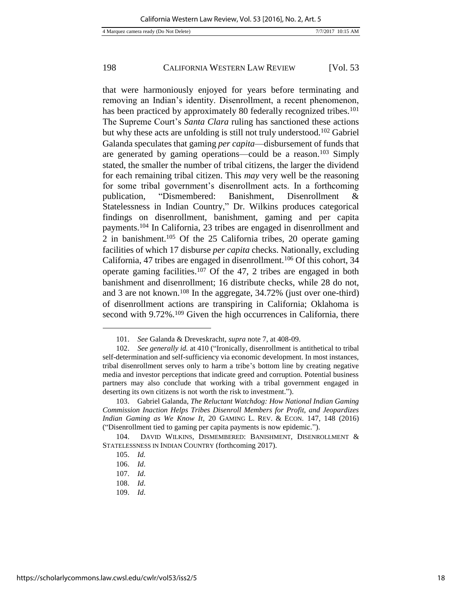that were harmoniously enjoyed for years before terminating and removing an Indian's identity. Disenrollment, a recent phenomenon, has been practiced by approximately 80 federally recognized tribes.<sup>101</sup> The Supreme Court's *Santa Clara* ruling has sanctioned these actions but why these acts are unfolding is still not truly understood.<sup>102</sup> Gabriel Galanda speculates that gaming *per capita*—disbursement of funds that are generated by gaming operations—could be a reason.<sup>103</sup> Simply stated, the smaller the number of tribal citizens, the larger the dividend for each remaining tribal citizen. This *may* very well be the reasoning for some tribal government's disenrollment acts. In a forthcoming publication, "Dismembered: Banishment, Disenrollment & Statelessness in Indian Country," Dr. Wilkins produces categorical findings on disenrollment, banishment, gaming and per capita payments.<sup>104</sup> In California, 23 tribes are engaged in disenrollment and 2 in banishment.<sup>105</sup> Of the 25 California tribes, 20 operate gaming facilities of which 17 disburse *per capita* checks. Nationally, excluding California, 47 tribes are engaged in disenrollment.<sup>106</sup> Of this cohort, 34 operate gaming facilities.<sup>107</sup> Of the 47, 2 tribes are engaged in both banishment and disenrollment; 16 distribute checks, while 28 do not, and 3 are not known.<sup>108</sup> In the aggregate, 34.72% (just over one-third) of disenrollment actions are transpiring in California; Oklahoma is second with 9.72%.<sup>109</sup> Given the high occurrences in California, there

<sup>101.</sup> *See* Galanda & Dreveskracht, *supra* note 7, at 408-09.

<sup>102.</sup> *See generally id.* at 410 ("Ironically, disenrollment is antithetical to tribal self-determination and self-sufficiency via economic development. In most instances, tribal disenrollment serves only to harm a tribe's bottom line by creating negative media and investor perceptions that indicate greed and corruption. Potential business partners may also conclude that working with a tribal government engaged in deserting its own citizens is not worth the risk to investment.").

<sup>103.</sup> Gabriel Galanda, *The Reluctant Watchdog: How National Indian Gaming Commission Inaction Helps Tribes Disenroll Members for Profit, and Jeopardizes Indian Gaming as We Know It*, 20 GAMING L. REV. & ECON. 147, 148 (2016) ("Disenrollment tied to gaming per capita payments is now epidemic.").

<sup>104.</sup> DAVID WILKINS, DISMEMBERED: BANISHMENT, DISENROLLMENT & STATELESSNESS IN INDIAN COUNTRY (forthcoming 2017).

<sup>105.</sup> *Id.*

<sup>106.</sup> *Id*.

<sup>107.</sup> *Id*.

<sup>108.</sup> *Id*.

<sup>109.</sup> *Id*.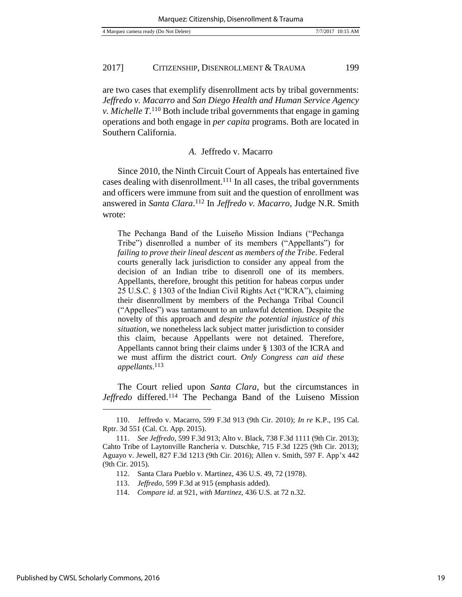are two cases that exemplify disenrollment acts by tribal governments: *Jeffredo v. Macarro* and *San Diego Health and Human Service Agency v. Michelle T*. <sup>110</sup> Both include tribal governments that engage in gaming operations and both engage in *per capita* programs. Both are located in Southern California.

#### *A.* Jeffredo v. Macarro

Since 2010, the Ninth Circuit Court of Appeals has entertained five cases dealing with disenrollment.<sup>111</sup> In all cases, the tribal governments and officers were immune from suit and the question of enrollment was answered in *Santa Clara*. <sup>112</sup> In *Jeffredo v. Macarro*, Judge N.R. Smith wrote:

The Pechanga Band of the Luiseño Mission Indians ("Pechanga Tribe") disenrolled a number of its members ("Appellants") for *failing to prove their lineal descent as members of the Tribe*. Federal courts generally lack jurisdiction to consider any appeal from the decision of an Indian tribe to disenroll one of its members. Appellants, therefore, brought this petition for habeas corpus under 25 U.S.C. § 1303 of the Indian Civil Rights Act ("ICRA"), claiming their disenrollment by members of the Pechanga Tribal Council ("Appellees") was tantamount to an unlawful detention. Despite the novelty of this approach and *despite the potential injustice of this situation,* we nonetheless lack subject matter jurisdiction to consider this claim, because Appellants were not detained. Therefore, Appellants cannot bring their claims under § 1303 of the ICRA and we must affirm the district court. *Only Congress can aid these appellants*. 113

The Court relied upon *Santa Clara*, but the circumstances in *Jeffredo* differed.<sup>114</sup> The Pechanga Band of the Luiseno Mission

112. Santa Clara Pueblo v. Martinez, 436 U.S. 49, 72 (1978).

<sup>110.</sup> Jeffredo v. Macarro, 599 F.3d 913 (9th Cir. 2010); *In re* K.P., 195 Cal. Rptr. 3d 551 (Cal. Ct. App. 2015).

<sup>111.</sup> *See Jeffredo*, 599 F.3d 913; Alto v. Black, 738 F.3d 1111 (9th Cir. 2013); Cahto Tribe of Laytonville Rancheria v. Dutschke, 715 F.3d 1225 (9th Cir. 2013); Aguayo v. Jewell, 827 F.3d 1213 (9th Cir. 2016); Allen v. Smith, 597 F. App'x 442 (9th Cir. 2015).

<sup>113.</sup> *Jeffredo,* 599 F.3d at 915 (emphasis added).

<sup>114.</sup> *Compare id*. at 921, *with Martinez,* 436 U.S. at 72 n.32.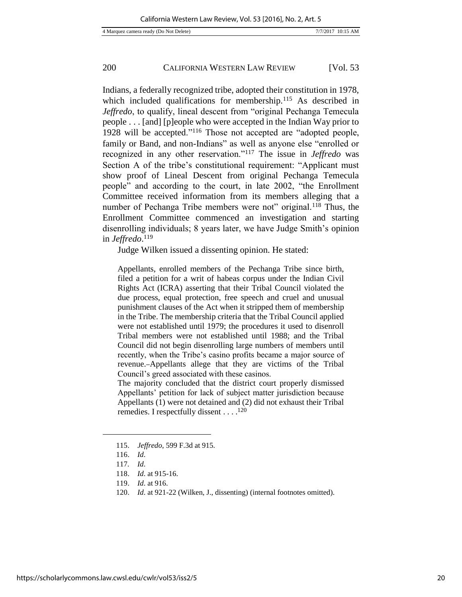Indians, a federally recognized tribe, adopted their constitution in 1978, which included qualifications for membership.<sup>115</sup> As described in *Jeffredo*, to qualify, lineal descent from "original Pechanga Temecula people . . . [and] [p]eople who were accepted in the Indian Way prior to 1928 will be accepted."<sup>116</sup> Those not accepted are "adopted people, family or Band, and non-Indians" as well as anyone else "enrolled or recognized in any other reservation."<sup>117</sup> The issue in *Jeffredo* was Section A of the tribe's constitutional requirement: "Applicant must show proof of Lineal Descent from original Pechanga Temecula people" and according to the court, in late 2002, "the Enrollment Committee received information from its members alleging that a number of Pechanga Tribe members were not" original.<sup>118</sup> Thus, the Enrollment Committee commenced an investigation and starting disenrolling individuals; 8 years later, we have Judge Smith's opinion in *Jeffredo*. 119

Judge Wilken issued a dissenting opinion. He stated:

Appellants, enrolled members of the Pechanga Tribe since birth, filed a petition for a writ of habeas corpus under the Indian Civil Rights Act (ICRA) asserting that their Tribal Council violated the due process, equal protection, free speech and cruel and unusual punishment clauses of the Act when it stripped them of membership in the Tribe. The membership criteria that the Tribal Council applied were not established until 1979; the procedures it used to disenroll Tribal members were not established until 1988; and the Tribal Council did not begin disenrolling large numbers of members until recently, when the Tribe's casino profits became a major source of revenue. Appellants allege that they are victims of the Tribal Council's greed associated with these casinos.

The majority concluded that the district court properly dismissed Appellants' petition for lack of subject matter jurisdiction because Appellants (1) were not detained and (2) did not exhaust their Tribal remedies. I respectfully dissent . . . .<sup>120</sup>

<sup>115.</sup> *Jeffredo*, 599 F.3d at 915.

<sup>116.</sup> *Id*.

<sup>117</sup>*. Id*.

<sup>118.</sup> *Id*. at 915-16.

<sup>119.</sup> *Id*. at 916.

<sup>120.</sup> *Id*. at 921-22 (Wilken, J., dissenting) (internal footnotes omitted).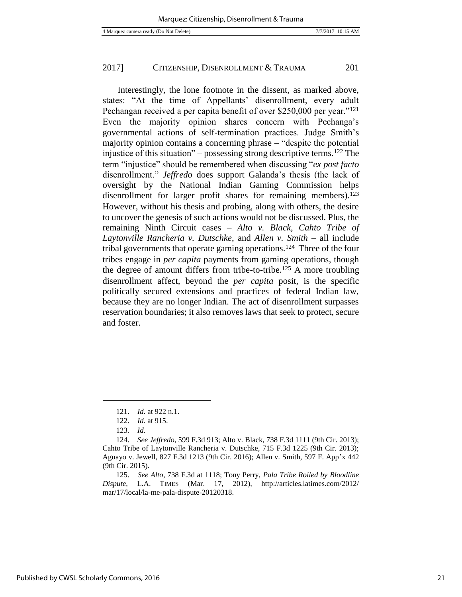Interestingly, the lone footnote in the dissent, as marked above, states: "At the time of Appellants' disenrollment, every adult Pechangan received a per capita benefit of over \$250,000 per year."<sup>121</sup> Even the majority opinion shares concern with Pechanga's governmental actions of self-termination practices. Judge Smith's majority opinion contains a concerning phrase – "despite the potential injustice of this situation" – possessing strong descriptive terms.<sup>122</sup> The term "injustice" should be remembered when discussing "*ex post facto* disenrollment." *Jeffredo* does support Galanda's thesis (the lack of oversight by the National Indian Gaming Commission helps disenrollment for larger profit shares for remaining members).<sup>123</sup> However, without his thesis and probing, along with others, the desire to uncover the genesis of such actions would not be discussed. Plus, the remaining Ninth Circuit cases – *Alto v. Black*, *Cahto Tribe of Laytonville Rancheria v. Dutschke*, and *Allen v. Smith* – all include tribal governments that operate gaming operations.<sup>124</sup> Three of the four tribes engage in *per capita* payments from gaming operations, though the degree of amount differs from tribe-to-tribe.<sup>125</sup> A more troubling disenrollment affect, beyond the *per capita* posit, is the specific politically secured extensions and practices of federal Indian law, because they are no longer Indian. The act of disenrollment surpasses reservation boundaries; it also removes laws that seek to protect, secure and foster.

<sup>121.</sup> *Id*. at 922 n.1.

<sup>122.</sup> *Id*. at 915.

<sup>123.</sup> *Id*.

<sup>124.</sup> *See Jeffredo*, 599 F.3d 913; Alto v. Black, 738 F.3d 1111 (9th Cir. 2013); Cahto Tribe of Laytonville Rancheria v. Dutschke, 715 F.3d 1225 (9th Cir. 2013); Aguayo v. Jewell, 827 F.3d 1213 (9th Cir. 2016); Allen v. Smith, 597 F. App'x 442 (9th Cir. 2015).

<sup>125.</sup> *See Alto*, 738 F.3d at 1118; Tony Perry, *Pala Tribe Roiled by Bloodline Dispute*, L.A. TIMES (Mar. 17, 2012), http://articles.latimes.com/2012/ mar/17/local/la-me-pala-dispute-20120318.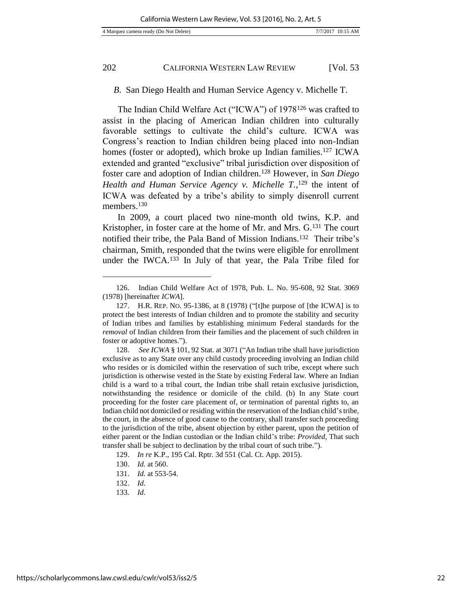#### *B*. San Diego Health and Human Service Agency v. Michelle T.

The Indian Child Welfare Act ("ICWA") of 1978<sup>126</sup> was crafted to assist in the placing of American Indian children into culturally favorable settings to cultivate the child's culture. ICWA was Congress's reaction to Indian children being placed into non-Indian homes (foster or adopted), which broke up Indian families.<sup>127</sup> ICWA extended and granted "exclusive" tribal jurisdiction over disposition of foster care and adoption of Indian children.<sup>128</sup> However, in *San Diego Health and Human Service Agency v. Michelle T.*, <sup>129</sup> the intent of ICWA was defeated by a tribe's ability to simply disenroll current members.<sup>130</sup>

In 2009, a court placed two nine-month old twins, K.P. and Kristopher, in foster care at the home of Mr. and Mrs. G.<sup>131</sup> The court notified their tribe, the Pala Band of Mission Indians.<sup>132</sup> Their tribe's chairman, Smith, responded that the twins were eligible for enrollment under the IWCA.<sup>133</sup> In July of that year, the Pala Tribe filed for

129. *In re* K.P., 195 Cal. Rptr. 3d 551 (Cal. Ct. App. 2015).

<sup>126.</sup> Indian Child Welfare Act of 1978, Pub. L. No. 95-608, 92 Stat. 3069 (1978) [hereinafter *ICWA*].

<sup>127.</sup> H.R. REP. NO. 95-1386, at 8 (1978) ("[t]he purpose of [the ICWA] is to protect the best interests of Indian children and to promote the stability and security of Indian tribes and families by establishing minimum Federal standards for the *removal* of Indian children from their families and the placement of such children in foster or adoptive homes.").

<sup>128.</sup> *See ICWA* § 101, 92 Stat. at 3071 ("An Indian tribe shall have jurisdiction exclusive as to any State over any child custody proceeding involving an Indian child who resides or is domiciled within the reservation of such tribe, except where such jurisdiction is otherwise vested in the State by existing Federal law. Where an Indian child is a ward to a tribal court, the Indian tribe shall retain exclusive jurisdiction, notwithstanding the residence or domicile of the child. (b) In any State court proceeding for the foster care placement of, or termination of parental rights to, an Indian child not domiciled or residing within the reservation of the Indian child's tribe, the court, in the absence of good cause to the contrary, shall transfer such proceeding to the jurisdiction of the tribe, absent objection by either parent, upon the petition of either parent or the Indian custodian or the Indian child's tribe: *Provided*, That such transfer shall be subject to declination by the tribal court of such tribe.").

<sup>130.</sup> *Id.* at 560.

<sup>131.</sup> *Id.* at 553-54.

<sup>132.</sup> *Id*.

<sup>133</sup>*. Id*.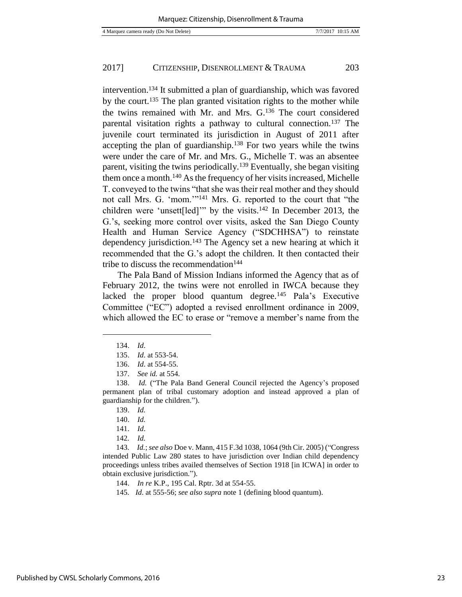intervention.<sup>134</sup> It submitted a plan of guardianship, which was favored by the court.<sup>135</sup> The plan granted visitation rights to the mother while the twins remained with Mr. and Mrs. G.<sup>136</sup> The court considered parental visitation rights a pathway to cultural connection.<sup>137</sup> The juvenile court terminated its jurisdiction in August of 2011 after accepting the plan of guardianship.<sup>138</sup> For two years while the twins were under the care of Mr. and Mrs. G., Michelle T. was an absentee parent, visiting the twins periodically.<sup>139</sup> Eventually, she began visiting them once a month.<sup>140</sup> As the frequency of her visits increased, Michelle T. conveyed to the twins "that she was their real mother and they should not call Mrs. G. 'mom.'"<sup>141</sup> Mrs. G. reported to the court that "the children were 'unsett[led]'" by the visits.<sup>142</sup> In December 2013, the G.'s, seeking more control over visits, asked the San Diego County Health and Human Service Agency ("SDCHHSA") to reinstate dependency jurisdiction.<sup>143</sup> The Agency set a new hearing at which it recommended that the G.'s adopt the children. It then contacted their tribe to discuss the recommendation $144$ 

The Pala Band of Mission Indians informed the Agency that as of February 2012, the twins were not enrolled in IWCA because they lacked the proper blood quantum degree.<sup>145</sup> Pala's Executive Committee ("EC") adopted a revised enrollment ordinance in 2009, which allowed the EC to erase or "remove a member's name from the

<sup>134.</sup> *Id*.

<sup>135.</sup> *Id*. at 553-54.

<sup>136.</sup> *Id*. at 554-55.

<sup>137.</sup> *See id.* at 554.

<sup>138.</sup> *Id.* ("The Pala Band General Council rejected the Agency's proposed permanent plan of tribal customary adoption and instead approved a plan of guardianship for the children.").

<sup>139.</sup> *Id.* 

<sup>140.</sup> *Id.*

<sup>141.</sup> *Id*.

<sup>142</sup>*. Id.*

<sup>143</sup>*. Id.*; *see also* Doe v. Mann, 415 F.3d 1038, 1064 (9th Cir. 2005) ("Congress intended Public Law 280 states to have jurisdiction over Indian child dependency proceedings unless tribes availed themselves of Section 1918 [in ICWA] in order to obtain exclusive jurisdiction.").

<sup>144.</sup> *In re* K.P., 195 Cal. Rptr. 3d at 554-55.

<sup>145</sup>*. Id*. at 555-56; *see also supra* note 1 (defining blood quantum).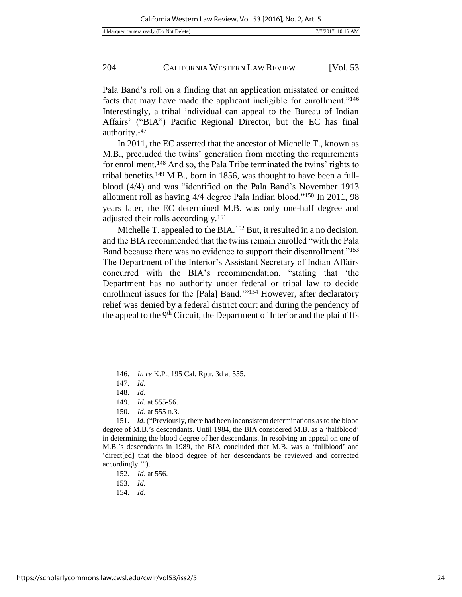Pala Band's roll on a finding that an application misstated or omitted facts that may have made the applicant ineligible for enrollment."<sup>146</sup> Interestingly, a tribal individual can appeal to the Bureau of Indian Affairs' ("BIA") Pacific Regional Director, but the EC has final authority.<sup>147</sup>

In 2011, the EC asserted that the ancestor of Michelle T., known as M.B., precluded the twins' generation from meeting the requirements for enrollment.<sup>148</sup> And so, the Pala Tribe terminated the twins' rights to tribal benefits.<sup>149</sup> M.B., born in 1856, was thought to have been a fullblood (4/4) and was "identified on the Pala Band's November 1913 allotment roll as having 4/4 degree Pala Indian blood."<sup>150</sup> In 2011, 98 years later, the EC determined M.B. was only one-half degree and adjusted their rolls accordingly.<sup>151</sup>

Michelle T. appealed to the BIA.<sup>152</sup> But, it resulted in a no decision, and the BIA recommended that the twins remain enrolled "with the Pala Band because there was no evidence to support their disenrollment."<sup>153</sup> The Department of the Interior's Assistant Secretary of Indian Affairs concurred with the BIA's recommendation, "stating that 'the Department has no authority under federal or tribal law to decide enrollment issues for the [Pala] Band."<sup>154</sup> However, after declaratory relief was denied by a federal district court and during the pendency of the appeal to the  $9<sup>th</sup>$  Circuit, the Department of Interior and the plaintiffs

l

150. *Id*. at 555 n.3.

<sup>146.</sup> *In re* K.P., 195 Cal. Rptr. 3d at 555.

<sup>147.</sup> *Id*.

<sup>148.</sup> *Id*.

<sup>149.</sup> *Id*. at 555-56.

<sup>151.</sup> *Id.* ("Previously, there had been inconsistent determinations as to the blood degree of M.B.'s descendants. Until 1984, the BIA considered M.B. as a 'halfblood' in determining the blood degree of her descendants. In resolving an appeal on one of M.B.'s descendants in 1989, the BIA concluded that M.B. was a 'fullblood' and 'direct[ed] that the blood degree of her descendants be reviewed and corrected accordingly.'").

<sup>152.</sup> *Id*. at 556.

<sup>153.</sup> *Id.*

<sup>154.</sup> *Id*.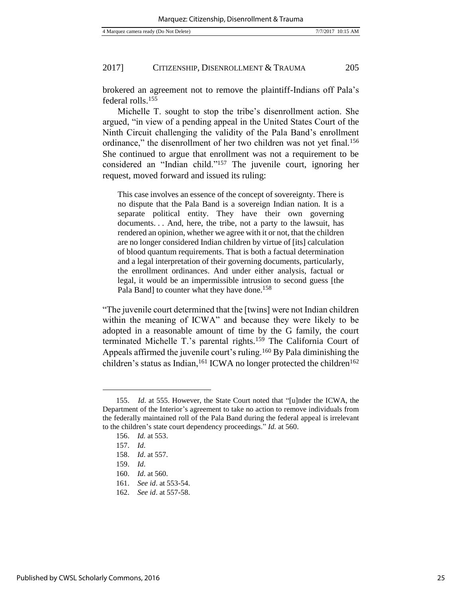brokered an agreement not to remove the plaintiff-Indians off Pala's federal rolls.<sup>155</sup>

Michelle T. sought to stop the tribe's disenrollment action. She argued, "in view of a pending appeal in the United States Court of the Ninth Circuit challenging the validity of the Pala Band's enrollment ordinance," the disenrollment of her two children was not yet final.<sup>156</sup> She continued to argue that enrollment was not a requirement to be considered an "Indian child."<sup>157</sup> The juvenile court, ignoring her request, moved forward and issued its ruling:

This case involves an essence of the concept of sovereignty. There is no dispute that the Pala Band is a sovereign Indian nation. It is a separate political entity. They have their own governing documents. . . And, here, the tribe, not a party to the lawsuit, has rendered an opinion, whether we agree with it or not, that the children are no longer considered Indian children by virtue of [its] calculation of blood quantum requirements. That is both a factual determination and a legal interpretation of their governing documents, particularly, the enrollment ordinances. And under either analysis, factual or legal, it would be an impermissible intrusion to second guess [the Pala Band] to counter what they have done.<sup>158</sup>

"The juvenile court determined that the [twins] were not Indian children within the meaning of ICWA" and because they were likely to be adopted in a reasonable amount of time by the G family, the court terminated Michelle T.'s parental rights.<sup>159</sup> The California Court of Appeals affirmed the juvenile court's ruling.<sup>160</sup> By Pala diminishing the children's status as Indian,<sup>161</sup> ICWA no longer protected the children<sup>162</sup>

<sup>155.</sup> *Id*. at 555. However, the State Court noted that "[u]nder the ICWA, the Department of the Interior's agreement to take no action to remove individuals from the federally maintained roll of the Pala Band during the federal appeal is irrelevant to the children's state court dependency proceedings." *Id.* at 560.

<sup>156.</sup> *Id.* at 553.

<sup>157.</sup> *Id*.

<sup>158.</sup> *Id*. at 557.

<sup>159.</sup> *Id*.

<sup>160.</sup> *Id*. at 560.

<sup>161.</sup> *See id*. at 553-54.

<sup>162.</sup> *See id*. at 557-58.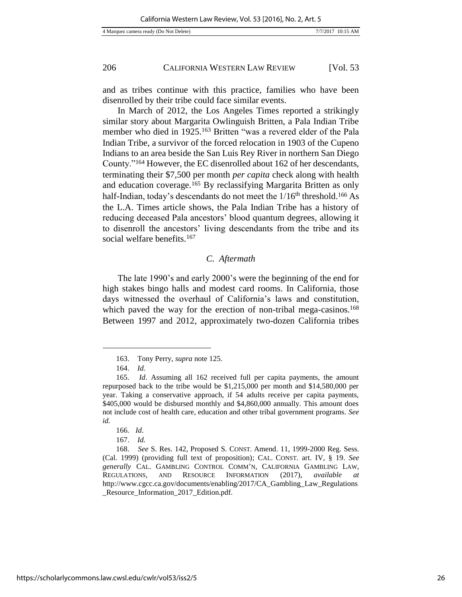and as tribes continue with this practice, families who have been disenrolled by their tribe could face similar events.

In March of 2012, the Los Angeles Times reported a strikingly similar story about Margarita Owlinguish Britten, a Pala Indian Tribe member who died in 1925.<sup>163</sup> Britten "was a revered elder of the Pala Indian Tribe, a survivor of the forced relocation in 1903 of the Cupeno Indians to an area beside the San Luis Rey River in northern San Diego County."<sup>164</sup> However, the EC disenrolled about 162 of her descendants, terminating their \$7,500 per month *per capita* check along with health and education coverage.<sup>165</sup> By reclassifying Margarita Britten as only half-Indian, today's descendants do not meet the 1/16<sup>th</sup> threshold.<sup>166</sup> As the L.A. Times article shows, the Pala Indian Tribe has a history of reducing deceased Pala ancestors' blood quantum degrees, allowing it to disenroll the ancestors' living descendants from the tribe and its social welfare benefits.<sup>167</sup>

## *C. Aftermath*

The late 1990's and early 2000's were the beginning of the end for high stakes bingo halls and modest card rooms. In California, those days witnessed the overhaul of California's laws and constitution, which paved the way for the erection of non-tribal mega-casinos.<sup>168</sup> Between 1997 and 2012, approximately two-dozen California tribes

<sup>163.</sup> Tony Perry, *supra* note 125.

<sup>164.</sup> *Id.* 

<sup>165.</sup> *Id*. Assuming all 162 received full per capita payments, the amount repurposed back to the tribe would be \$1,215,000 per month and \$14,580,000 per year. Taking a conservative approach, if 54 adults receive per capita payments, \$405,000 would be disbursed monthly and \$4,860,000 annually. This amount does not include cost of health care, education and other tribal government programs. *See id.*

<sup>166</sup>*. Id*.

<sup>167.</sup> *Id.* 

<sup>168.</sup> *See* S. Res. 142, Proposed S. CONST. Amend. 11, 1999-2000 Reg. Sess. (Cal. 1999) (providing full text of proposition); CAL. CONST. art. IV, § 19. *See generally* CAL. GAMBLING CONTROL COMM'N, CALIFORNIA GAMBLING LAW, REGULATIONS, AND RESOURCE INFORMATION (2017), *available at*  http://www.cgcc.ca.gov/documents/enabling/2017/CA\_Gambling\_Law\_Regulations \_Resource\_Information\_2017\_Edition.pdf.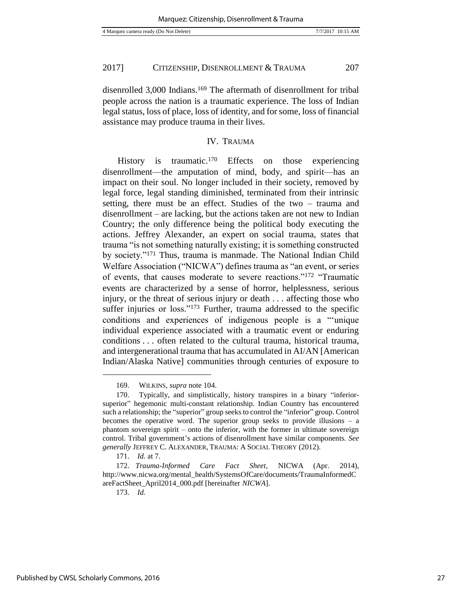disenrolled 3,000 Indians.<sup>169</sup> The aftermath of disenrollment for tribal people across the nation is a traumatic experience. The loss of Indian legal status, loss of place, loss of identity, and for some, loss of financial assistance may produce trauma in their lives.

## IV. TRAUMA

History is traumatic.<sup>170</sup> Effects on those experiencing disenrollment—the amputation of mind, body, and spirit—has an impact on their soul. No longer included in their society, removed by legal force, legal standing diminished, terminated from their intrinsic setting, there must be an effect. Studies of the two – trauma and disenrollment – are lacking, but the actions taken are not new to Indian Country; the only difference being the political body executing the actions. Jeffrey Alexander, an expert on social trauma, states that trauma "is not something naturally existing; it is something constructed by society."<sup>171</sup> Thus, trauma is manmade. The National Indian Child Welfare Association ("NICWA") defines trauma as "an event, or series of events, that causes moderate to severe reactions."<sup>172</sup> "Traumatic events are characterized by a sense of horror, helplessness, serious injury, or the threat of serious injury or death . . . affecting those who suffer injuries or loss."<sup>173</sup> Further, trauma addressed to the specific conditions and experiences of indigenous people is a "'unique individual experience associated with a traumatic event or enduring conditions . . . often related to the cultural trauma, historical trauma, and intergenerational trauma that has accumulated in AI/AN [American Indian/Alaska Native] communities through centuries of exposure to

173. *Id.*

<sup>169.</sup> WILKINS, *supra* note 104.

<sup>170.</sup> Typically, and simplistically, history transpires in a binary "inferiorsuperior" hegemonic multi-constant relationship. Indian Country has encountered such a relationship; the "superior" group seeks to control the "inferior" group. Control becomes the operative word. The superior group seeks to provide illusions – a phantom sovereign spirit – onto the inferior, with the former in ultimate sovereign control. Tribal government's actions of disenrollment have similar components. *See generally* JEFFREY C. ALEXANDER, TRAUMA: A SOCIAL THEORY (2012).

<sup>171.</sup> *Id.* at 7.

<sup>172.</sup> *Trauma-Informed Care Fact Sheet*, NICWA (Apr. 2014), http://www.nicwa.org/mental\_health/SystemsOfCare/documents/TraumaInformedC areFactSheet\_April2014\_000.pdf [hereinafter *NICWA*].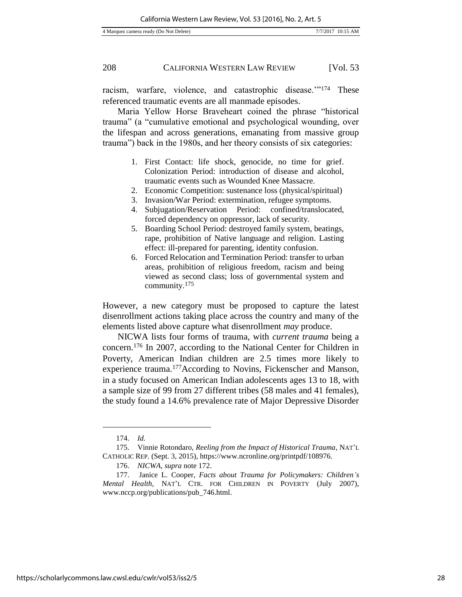racism, warfare, violence, and catastrophic disease.'"<sup>174</sup> These referenced traumatic events are all manmade episodes.

Maria Yellow Horse Braveheart coined the phrase "historical trauma" (a "cumulative emotional and psychological wounding, over the lifespan and across generations, emanating from massive group trauma") back in the 1980s, and her theory consists of six categories:

- 1. First Contact: life shock, genocide, no time for grief. Colonization Period: introduction of disease and alcohol, traumatic events such as Wounded Knee Massacre.
- 2. Economic Competition: sustenance loss (physical/spiritual)
- 3. Invasion/War Period: extermination, refugee symptoms.
- 4. Subjugation/Reservation Period: confined/translocated, forced dependency on oppressor, lack of security.
- 5. Boarding School Period: destroyed family system, beatings, rape, prohibition of Native language and religion. Lasting effect: ill-prepared for parenting, identity confusion.
- 6. Forced Relocation and Termination Period: transfer to urban areas, prohibition of religious freedom, racism and being viewed as second class; loss of governmental system and community.<sup>175</sup>

However, a new category must be proposed to capture the latest disenrollment actions taking place across the country and many of the elements listed above capture what disenrollment *may* produce.

NICWA lists four forms of trauma, with *current trauma* being a concern. <sup>176</sup> In 2007, according to the National Center for Children in Poverty, American Indian children are 2.5 times more likely to experience trauma.<sup>177</sup>According to Novins, Fickenscher and Manson, in a study focused on American Indian adolescents ages 13 to 18, with a sample size of 99 from 27 different tribes (58 males and 41 females), the study found a 14.6% prevalence rate of Major Depressive Disorder

<sup>174.</sup> *Id.*

<sup>175.</sup> Vinnie Rotondaro, *Reeling from the Impact of Historical Trauma*, NAT'L CATHOLIC REP. (Sept. 3, 2015), https://www.ncronline.org/printpdf/108976.

<sup>176.</sup> *NICWA*, *supra* note 172.

<sup>177.</sup> Janice L. Cooper, *Facts about Trauma for Policymakers: Children's Mental Health*, NAT'L CTR. FOR CHILDREN IN POVERTY (July 2007), www.nccp.org/publications/pub\_746.html.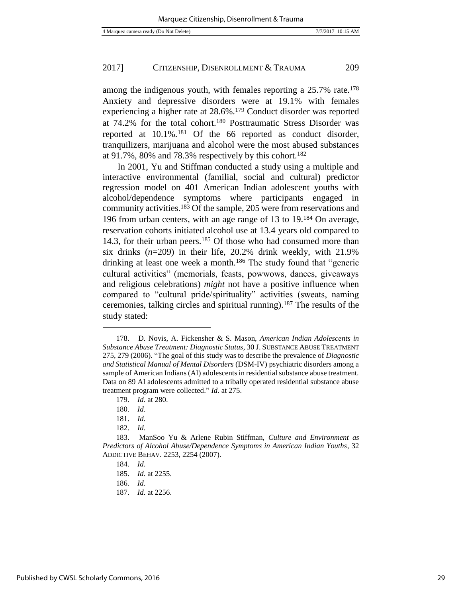among the indigenous youth, with females reporting a 25.7% rate.<sup>178</sup> Anxiety and depressive disorders were at 19.1% with females experiencing a higher rate at 28.6%.<sup>179</sup> Conduct disorder was reported at 74.2% for the total cohort.<sup>180</sup> Posttraumatic Stress Disorder was reported at 10.1%.<sup>181</sup> Of the 66 reported as conduct disorder, tranquilizers, marijuana and alcohol were the most abused substances at 91.7%, 80% and 78.3% respectively by this cohort.<sup>182</sup>

In 2001, Yu and Stiffman conducted a study using a multiple and interactive environmental (familial, social and cultural) predictor regression model on 401 American Indian adolescent youths with alcohol/dependence symptoms where participants engaged in community activities.<sup>183</sup> Of the sample, 205 were from reservations and 196 from urban centers, with an age range of 13 to 19.<sup>184</sup> On average, reservation cohorts initiated alcohol use at 13.4 years old compared to 14.3, for their urban peers.<sup>185</sup> Of those who had consumed more than six drinks (*n*=209) in their life, 20.2% drink weekly, with 21.9% drinking at least one week a month.<sup>186</sup> The study found that "generic cultural activities" (memorials, feasts, powwows, dances, giveaways and religious celebrations) *might* not have a positive influence when compared to "cultural pride/spirituality" activities (sweats, naming ceremonies, talking circles and spiritual running).<sup>187</sup> The results of the study stated:

- 186. *Id*.
- 187. *Id*. at 2256.

<sup>178.</sup> D. Novis, A. Fickensher & S. Mason, *American Indian Adolescents in Substance Abuse Treatment: Diagnostic Status*, 30 J. SUBSTANCE ABUSE TREATMENT 275, 279 (2006). "The goal of this study was to describe the prevalence of *Diagnostic and Statistical Manual of Mental Disorders* (DSM-IV) psychiatric disorders among a sample of American Indians (AI) adolescents in residential substance abuse treatment. Data on 89 AI adolescents admitted to a tribally operated residential substance abuse treatment program were collected." *Id*. at 275.

<sup>179.</sup> *Id*. at 280.

<sup>180.</sup> *Id*.

<sup>181.</sup> *Id*.

<sup>182.</sup> *Id*.

<sup>183.</sup> ManSoo Yu & Arlene Rubin Stiffman, *Culture and Environment as Predictors of Alcohol Abuse/Dependence Symptoms in American Indian Youths*, 32 ADDICTIVE BEHAV. 2253, 2254 (2007).

<sup>184.</sup> *Id*.

<sup>185.</sup> *Id*. at 2255.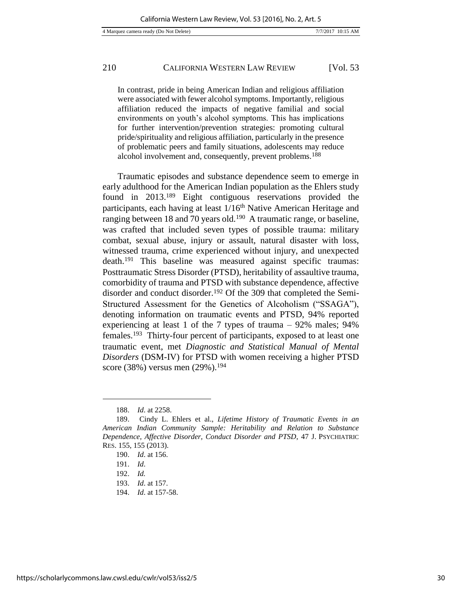In contrast, pride in being American Indian and religious affiliation were associated with fewer alcohol symptoms. Importantly, religious affiliation reduced the impacts of negative familial and social environments on youth's alcohol symptoms. This has implications for further intervention/prevention strategies: promoting cultural pride/spirituality and religious affiliation, particularly in the presence of problematic peers and family situations, adolescents may reduce alcohol involvement and, consequently, prevent problems.<sup>188</sup>

Traumatic episodes and substance dependence seem to emerge in early adulthood for the American Indian population as the Ehlers study found in 2013.<sup>189</sup> Eight contiguous reservations provided the participants, each having at least  $1/16<sup>th</sup>$  Native American Heritage and ranging between 18 and 70 years old.<sup>190</sup> A traumatic range, or baseline, was crafted that included seven types of possible trauma: military combat, sexual abuse, injury or assault, natural disaster with loss, witnessed trauma, crime experienced without injury, and unexpected death.<sup>191</sup> This baseline was measured against specific traumas: Posttraumatic Stress Disorder (PTSD), heritability of assaultive trauma, comorbidity of trauma and PTSD with substance dependence, affective disorder and conduct disorder.192 Of the 309 that completed the Semi-Structured Assessment for the Genetics of Alcoholism ("SSAGA"), denoting information on traumatic events and PTSD, 94% reported experiencing at least 1 of the 7 types of trauma – 92% males; 94% females.<sup>193</sup> Thirty-four percent of participants, exposed to at least one traumatic event, met *Diagnostic and Statistical Manual of Mental Disorders* (DSM-IV) for PTSD with women receiving a higher PTSD score (38%) versus men (29%).<sup>194</sup>

<sup>188.</sup> *Id*. at 2258.

<sup>189.</sup> Cindy L. Ehlers et al., *Lifetime History of Traumatic Events in an American Indian Community Sample: Heritability and Relation to Substance Dependence, Affective Disorder, Conduct Disorder and PTSD*, 47 J. PSYCHIATRIC RES. 155, 155 (2013).

<sup>190.</sup> *Id*. at 156.

<sup>191.</sup> *Id*.

<sup>192.</sup> *Id.*

<sup>193.</sup> *Id*. at 157.

<sup>194.</sup> *Id*. at 157-58.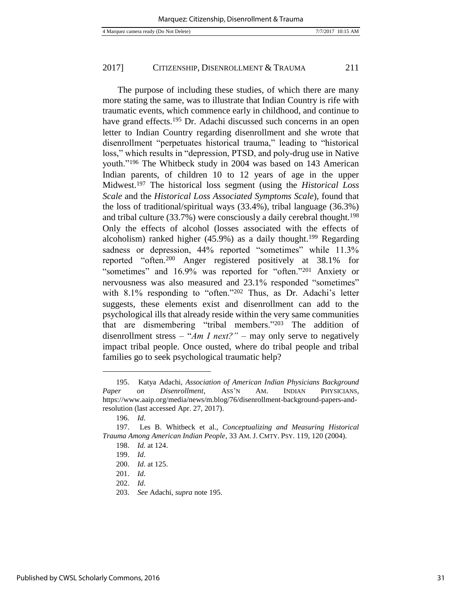The purpose of including these studies, of which there are many more stating the same, was to illustrate that Indian Country is rife with traumatic events, which commence early in childhood, and continue to have grand effects.<sup>195</sup> Dr. Adachi discussed such concerns in an open letter to Indian Country regarding disenrollment and she wrote that disenrollment "perpetuates historical trauma," leading to "historical loss," which results in "depression, PTSD, and poly-drug use in Native youth."<sup>196</sup> The Whitbeck study in 2004 was based on 143 American Indian parents, of children 10 to 12 years of age in the upper Midwest.<sup>197</sup> The historical loss segment (using the *Historical Loss Scale* and the *Historical Loss Associated Symptoms Scale*), found that the loss of traditional/spiritual ways (33.4%), tribal language (36.3%) and tribal culture (33.7%) were consciously a daily cerebral thought.<sup>198</sup> Only the effects of alcohol (losses associated with the effects of alcoholism) ranked higher  $(45.9\%)$  as a daily thought.<sup>199</sup> Regarding sadness or depression, 44% reported "sometimes" while 11.3% reported "often.<sup>200</sup> Anger registered positively at 38.1% for "sometimes" and 16.9% was reported for "often."<sup>201</sup> Anxiety or nervousness was also measured and 23.1% responded "sometimes" with 8.1% responding to "often."<sup>202</sup> Thus, as Dr. Adachi's letter suggests, these elements exist and disenrollment can add to the psychological ills that already reside within the very same communities that are dismembering "tribal members."<sup>203</sup> The addition of disenrollment stress  $-$  "*Am I next?*" – may only serve to negatively impact tribal people. Once ousted, where do tribal people and tribal families go to seek psychological traumatic help?

<sup>195.</sup> Katya Adachi, *Association of American Indian Physicians Background Paper on Disenrollment*, ASS'N AM. INDIAN PHYSICIANS, https://www.aaip.org/media/news/m.blog/76/disenrollment-background-papers-andresolution (last accessed Apr. 27, 2017).

<sup>196</sup>*. Id*.

<sup>197.</sup> Les B. Whitbeck et al., *Conceptualizing and Measuring Historical Trauma Among American Indian People*, 33 AM. J. CMTY. PSY. 119, 120 (2004).

<sup>198.</sup> *Id.* at 124.

<sup>199.</sup> *Id*.

<sup>200.</sup> *Id*. at 125.

<sup>201.</sup> *Id*.

<sup>202.</sup> *Id*.

<sup>203.</sup> *See* Adachi, *supra* note 195.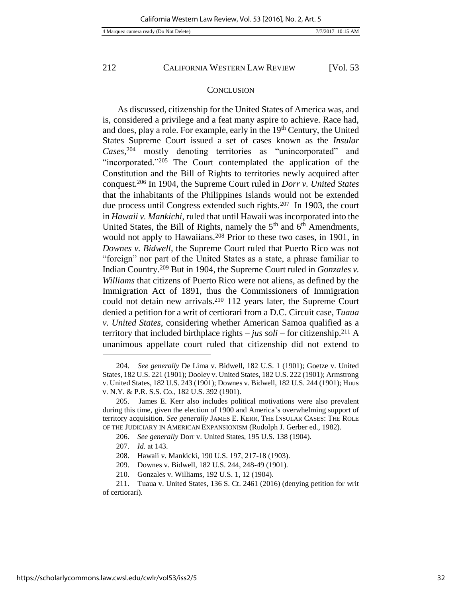#### **CONCLUSION**

As discussed, citizenship for the United States of America was, and is, considered a privilege and a feat many aspire to achieve. Race had, and does, play a role. For example, early in the 19<sup>th</sup> Century, the United States Supreme Court issued a set of cases known as the *Insular Cases*, <sup>204</sup> mostly denoting territories as "unincorporated" and "incorporated."<sup>205</sup> The Court contemplated the application of the Constitution and the Bill of Rights to territories newly acquired after conquest.<sup>206</sup> In 1904, the Supreme Court ruled in *Dorr v. United States* that the inhabitants of the Philippines Islands would not be extended due process until Congress extended such rights.<sup>207</sup> In 1903, the court in *Hawaii v. Mankichi*, ruled that until Hawaii was incorporated into the United States, the Bill of Rights, namely the  $5<sup>th</sup>$  and  $6<sup>th</sup>$  Amendments, would not apply to Hawaiians.<sup>208</sup> Prior to these two cases, in 1901, in *Downes v. Bidwell,* the Supreme Court ruled that Puerto Rico was not "foreign" nor part of the United States as a state, a phrase familiar to Indian Country.<sup>209</sup> But in 1904, the Supreme Court ruled in *Gonzales v. Williams* that citizens of Puerto Rico were not aliens, as defined by the Immigration Act of 1891, thus the Commissioners of Immigration could not detain new arrivals.<sup>210</sup> 112 years later, the Supreme Court denied a petition for a writ of certiorari from a D.C. Circuit case, *Tuaua v. United States*, considering whether American Samoa qualified as a territory that included birthplace rights – *jus soli* – for citizenship.<sup>211</sup> A unanimous appellate court ruled that citizenship did not extend to

<sup>204.</sup> *See generally* De Lima v. Bidwell, 182 U.S. 1 (1901); Goetze v. United States, 182 U.S. 221 (1901); Dooley v. United States, 182 U.S. 222 (1901); Armstrong v. United States, 182 U.S. 243 (1901); Downes v. Bidwell, 182 U.S. 244 (1901); Huus v. N.Y. & P.R. S.S. Co., 182 U.S. 392 (1901).

<sup>205.</sup> James E. Kerr also includes political motivations were also prevalent during this time, given the election of 1900 and America's overwhelming support of territory acquisition. *See generally* JAMES E. KERR, THE INSULAR CASES: THE ROLE OF THE JUDICIARY IN AMERICAN EXPANSIONISM (Rudolph J. Gerber ed., 1982).

<sup>206.</sup> *See generally* Dorr v. United States, 195 U.S. 138 (1904).

<sup>207.</sup> *Id*. at 143.

<sup>208.</sup> Hawaii v. Mankicki, 190 U.S. 197, 217-18 (1903).

<sup>209.</sup> Downes v. Bidwell, 182 U.S. 244, 248-49 (1901).

<sup>210.</sup> Gonzales v. Williams, 192 U.S. 1, 12 (1904).

<sup>211.</sup> Tuaua v. United States, 136 S. Ct. 2461 (2016) (denying petition for writ of certiorari).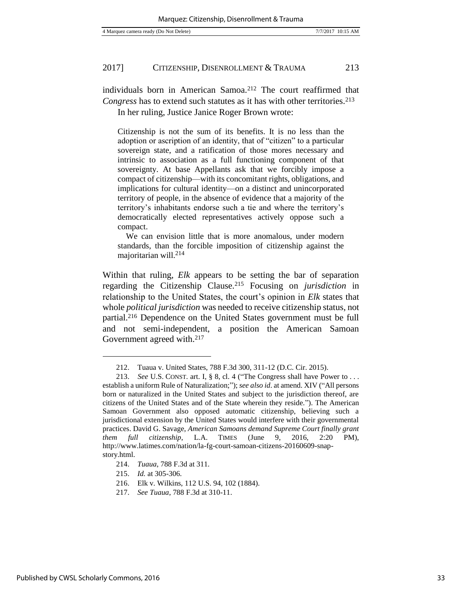individuals born in American Samoa.<sup>212</sup> The court reaffirmed that *Congress* has to extend such statutes as it has with other territories.<sup>213</sup> In her ruling, Justice Janice Roger Brown wrote:

Citizenship is not the sum of its benefits. It is no less than the adoption or ascription of an identity, that of "citizen" to a particular sovereign state, and a ratification of those mores necessary and intrinsic to association as a full functioning component of that sovereignty. At base Appellants ask that we forcibly impose a compact of citizenship—with its concomitant rights, obligations, and implications for cultural identity—on a distinct and unincorporated territory of people, in the absence of evidence that a majority of the territory's inhabitants endorse such a tie and where the territory's democratically elected representatives actively oppose such a compact.

 We can envision little that is more anomalous, under modern standards, than the forcible imposition of citizenship against the majoritarian will.<sup>214</sup>

Within that ruling, *Elk* appears to be setting the bar of separation regarding the Citizenship Clause.<sup>215</sup> Focusing on *jurisdiction* in relationship to the United States, the court's opinion in *Elk* states that whole *political jurisdiction* was needed to receive citizenship status, not partial.<sup>216</sup> Dependence on the United States government must be full and not semi-independent, a position the American Samoan Government agreed with.<sup>217</sup>

<sup>212.</sup> Tuaua v. United States, 788 F.3d 300, 311-12 (D.C. Cir. 2015).

<sup>213.</sup> *See* U.S. CONST. art. I, § 8, cl. 4 ("The Congress shall have Power to . . . establish a uniform Rule of Naturalization;"); *see also id*. at amend. XIV ("All persons born or naturalized in the United States and subject to the jurisdiction thereof, are citizens of the United States and of the State wherein they reside."). The American Samoan Government also opposed automatic citizenship, believing such a jurisdictional extension by the United States would interfere with their governmental practices. David G. Savage, *American Samoans demand Supreme Court finally grant them full citizenship*, L.A. TIMES (June 9, 2016, 2:20 PM), http://www.latimes.com/nation/la-fg-court-samoan-citizens-20160609-snapstory.html.

<sup>214.</sup> *Tuaua*, 788 F.3d at 311.

<sup>215.</sup> *Id.* at 305-306.

<sup>216.</sup> Elk v. Wilkins, 112 U.S. 94, 102 (1884).

<sup>217.</sup> *See Tuaua*, 788 F.3d at 310-11.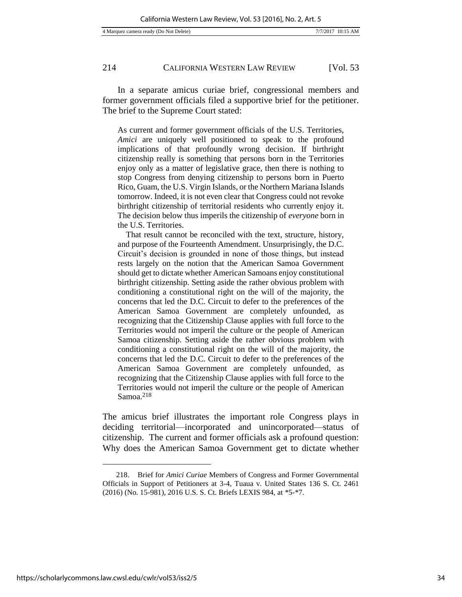In a separate amicus curiae brief, congressional members and former government officials filed a supportive brief for the petitioner. The brief to the Supreme Court stated:

As current and former government officials of the U.S. Territories, *Amici* are uniquely well positioned to speak to the profound implications of that profoundly wrong decision. If birthright citizenship really is something that persons born in the Territories enjoy only as a matter of legislative grace, then there is nothing to stop Congress from denying citizenship to persons born in Puerto Rico, Guam, the U.S. Virgin Islands, or the Northern Mariana Islands tomorrow. Indeed, it is not even clear that Congress could not revoke birthright citizenship of territorial residents who currently enjoy it. The decision below thus imperils the citizenship of *everyone* born in the U.S. Territories.

 That result cannot be reconciled with the text, structure, history, and purpose of the Fourteenth Amendment. Unsurprisingly, the D.C. Circuit's decision is grounded in none of those things, but instead rests largely on the notion that the American Samoa Government should get to dictate whether American Samoans enjoy constitutional birthright citizenship. Setting aside the rather obvious problem with conditioning a constitutional right on the will of the majority, the concerns that led the D.C. Circuit to defer to the preferences of the American Samoa Government are completely unfounded, as recognizing that the Citizenship Clause applies with full force to the Territories would not imperil the culture or the people of American Samoa citizenship. Setting aside the rather obvious problem with conditioning a constitutional right on the will of the majority, the concerns that led the D.C. Circuit to defer to the preferences of the American Samoa Government are completely unfounded, as recognizing that the Citizenship Clause applies with full force to the Territories would not imperil the culture or the people of American Samoa.<sup>218</sup>

The amicus brief illustrates the important role Congress plays in deciding territorial—incorporated and unincorporated—status of citizenship. The current and former officials ask a profound question: Why does the American Samoa Government get to dictate whether

<sup>218.</sup> Brief for *Amici Curiae* Members of Congress and Former Governmental Officials in Support of Petitioners at 3-4, Tuaua v. United States 136 S. Ct. 2461 (2016) (No. 15-981), 2016 U.S. S. Ct. Briefs LEXIS 984, at \*5-\*7.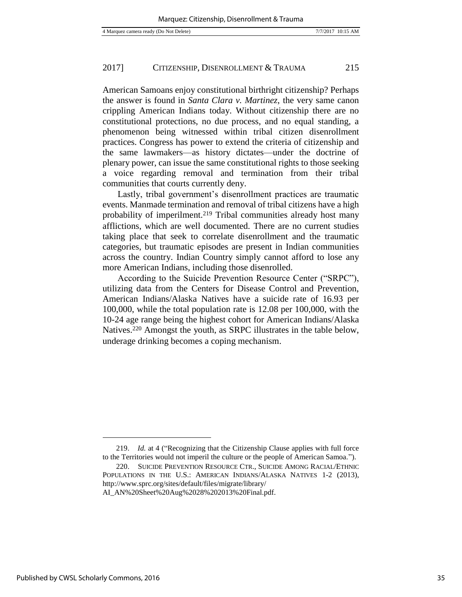American Samoans enjoy constitutional birthright citizenship? Perhaps the answer is found in *Santa Clara v. Martinez*, the very same canon crippling American Indians today. Without citizenship there are no constitutional protections, no due process, and no equal standing, a phenomenon being witnessed within tribal citizen disenrollment practices. Congress has power to extend the criteria of citizenship and the same lawmakers—as history dictates—under the doctrine of plenary power, can issue the same constitutional rights to those seeking a voice regarding removal and termination from their tribal communities that courts currently deny.

Lastly, tribal government's disenrollment practices are traumatic events. Manmade termination and removal of tribal citizens have a high probability of imperilment.<sup>219</sup> Tribal communities already host many afflictions, which are well documented. There are no current studies taking place that seek to correlate disenrollment and the traumatic categories, but traumatic episodes are present in Indian communities across the country. Indian Country simply cannot afford to lose any more American Indians, including those disenrolled.

According to the Suicide Prevention Resource Center ("SRPC"), utilizing data from the Centers for Disease Control and Prevention, American Indians/Alaska Natives have a suicide rate of 16.93 per 100,000, while the total population rate is 12.08 per 100,000, with the 10-24 age range being the highest cohort for American Indians/Alaska Natives.<sup>220</sup> Amongst the youth, as SRPC illustrates in the table below, underage drinking becomes a coping mechanism.

<sup>219.</sup> *Id.* at 4 ("Recognizing that the Citizenship Clause applies with full force to the Territories would not imperil the culture or the people of American Samoa.").

<sup>220.</sup> SUICIDE PREVENTION RESOURCE CTR., SUICIDE AMONG RACIAL/ETHNIC POPULATIONS IN THE U.S.: AMERICAN INDIANS/ALASKA NATIVES 1-2 (2013), http://www.sprc.org/sites/default/files/migrate/library/

AI\_AN%20Sheet%20Aug%2028%202013%20Final.pdf.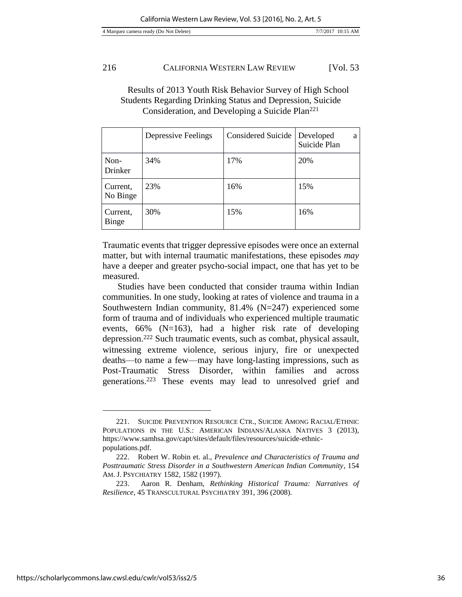## Results of 2013 Youth Risk Behavior Survey of High School Students Regarding Drinking Status and Depression, Suicide Consideration, and Developing a Suicide Plan<sup>221</sup>

|                      | Depressive Feelings | <b>Considered Suicide</b> | Developed<br>a<br>Suicide Plan |
|----------------------|---------------------|---------------------------|--------------------------------|
| Non-<br>Drinker      | 34%                 | 17%                       | 20%                            |
| Current,<br>No Binge | 23%                 | 16%                       | 15%                            |
| Current,<br>Binge    | 30%                 | 15%                       | 16%                            |

Traumatic events that trigger depressive episodes were once an external matter, but with internal traumatic manifestations, these episodes *may* have a deeper and greater psycho-social impact, one that has yet to be measured.

Studies have been conducted that consider trauma within Indian communities. In one study, looking at rates of violence and trauma in a Southwestern Indian community, 81.4% (N=247) experienced some form of trauma and of individuals who experienced multiple traumatic events, 66% (N=163), had a higher risk rate of developing depression.<sup>222</sup> Such traumatic events, such as combat, physical assault, witnessing extreme violence, serious injury, fire or unexpected deaths—to name a few—may have long-lasting impressions, such as Post-Traumatic Stress Disorder, within families and across generations.<sup>223</sup> These events may lead to unresolved grief and

<sup>221.</sup> SUICIDE PREVENTION RESOURCE CTR., SUICIDE AMONG RACIAL/ETHNIC POPULATIONS IN THE U.S.: AMERICAN INDIANS/ALASKA NATIVES 3 (2013), https://www.samhsa.gov/capt/sites/default/files/resources/suicide-ethnicpopulations.pdf.

<sup>222.</sup> Robert W. Robin et. al., *Prevalence and Characteristics of Trauma and Posttraumatic Stress Disorder in a Southwestern American Indian Community*, 154 AM. J. PSYCHIATRY 1582, 1582 (1997).

<sup>223.</sup> Aaron R. Denham, *Rethinking Historical Trauma: Narratives of Resilience*, 45 TRANSCULTURAL PSYCHIATRY 391, 396 (2008).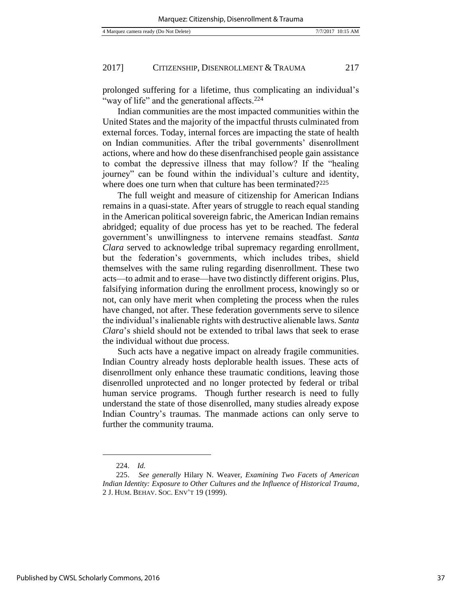prolonged suffering for a lifetime, thus complicating an individual's "way of life" and the generational affects.<sup>224</sup>

Indian communities are the most impacted communities within the United States and the majority of the impactful thrusts culminated from external forces. Today, internal forces are impacting the state of health on Indian communities. After the tribal governments' disenrollment actions, where and how do these disenfranchised people gain assistance to combat the depressive illness that may follow? If the "healing journey" can be found within the individual's culture and identity, where does one turn when that culture has been terminated?<sup>225</sup>

The full weight and measure of citizenship for American Indians remains in a quasi-state. After years of struggle to reach equal standing in the American political sovereign fabric, the American Indian remains abridged; equality of due process has yet to be reached. The federal government's unwillingness to intervene remains steadfast. *Santa Clara* served to acknowledge tribal supremacy regarding enrollment, but the federation's governments, which includes tribes, shield themselves with the same ruling regarding disenrollment. These two acts—to admit and to erase—have two distinctly different origins. Plus, falsifying information during the enrollment process, knowingly so or not, can only have merit when completing the process when the rules have changed, not after. These federation governments serve to silence the individual's inalienable rights with destructive alienable laws. *Santa Clara*'s shield should not be extended to tribal laws that seek to erase the individual without due process.

Such acts have a negative impact on already fragile communities. Indian Country already hosts deplorable health issues. These acts of disenrollment only enhance these traumatic conditions, leaving those disenrolled unprotected and no longer protected by federal or tribal human service programs. Though further research is need to fully understand the state of those disenrolled, many studies already expose Indian Country's traumas. The manmade actions can only serve to further the community trauma.

l

Published by CWSL Scholarly Commons, 2016

<sup>224.</sup> *Id.*

<sup>225.</sup> *See generally* Hilary N. Weaver, *Examining Two Facets of American Indian Identity: Exposure to Other Cultures and the Influence of Historical Trauma*, 2 J. HUM. BEHAV. SOC. ENV'T 19 (1999).